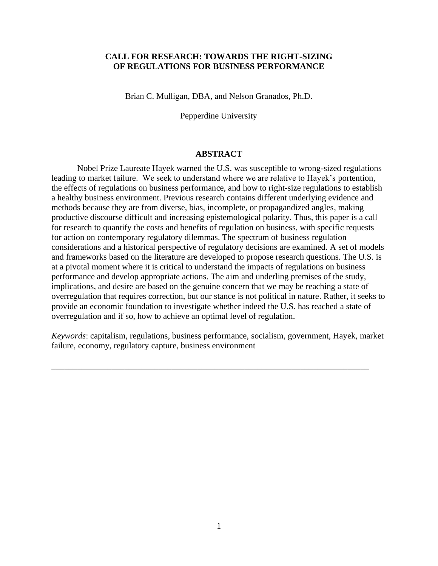# **CALL FOR RESEARCH: TOWARDS THE RIGHT-SIZING OF REGULATIONS FOR BUSINESS PERFORMANCE**

Brian C. Mulligan, DBA, and Nelson Granados, Ph.D.

Pepperdine University

## **ABSTRACT**

Nobel Prize Laureate Hayek warned the U.S. was susceptible to wrong-sized regulations leading to market failure. We seek to understand where we are relative to Hayek's portention, the effects of regulations on business performance, and how to right-size regulations to establish a healthy business environment. Previous research contains different underlying evidence and methods because they are from diverse, bias, incomplete, or propagandized angles, making productive discourse difficult and increasing epistemological polarity. Thus, this paper is a call for research to quantify the costs and benefits of regulation on business, with specific requests for action on contemporary regulatory dilemmas. The spectrum of business regulation considerations and a historical perspective of regulatory decisions are examined. A set of models and frameworks based on the literature are developed to propose research questions. The U.S. is at a pivotal moment where it is critical to understand the impacts of regulations on business performance and develop appropriate actions. The aim and underling premises of the study, implications, and desire are based on the genuine concern that we may be reaching a state of overregulation that requires correction, but our stance is not political in nature. Rather, it seeks to provide an economic foundation to investigate whether indeed the U.S. has reached a state of overregulation and if so, how to achieve an optimal level of regulation.

*Keywords*: capitalism, regulations, business performance, socialism, government, Hayek, market failure, economy, regulatory capture, business environment

\_\_\_\_\_\_\_\_\_\_\_\_\_\_\_\_\_\_\_\_\_\_\_\_\_\_\_\_\_\_\_\_\_\_\_\_\_\_\_\_\_\_\_\_\_\_\_\_\_\_\_\_\_\_\_\_\_\_\_\_\_\_\_\_\_\_\_\_\_\_\_\_\_\_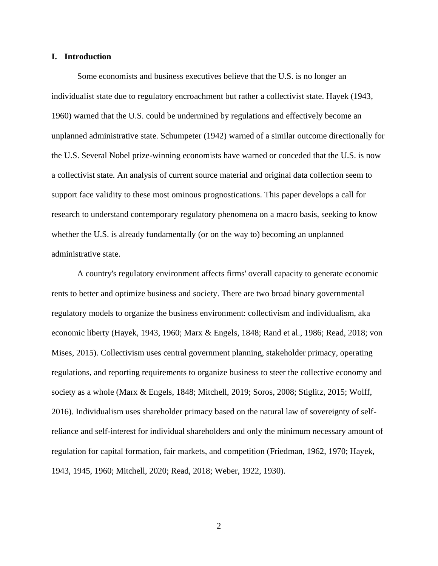### **I. Introduction**

Some economists and business executives believe that the U.S. is no longer an individualist state due to regulatory encroachment but rather a collectivist state. Hayek (1943, 1960) warned that the U.S. could be undermined by regulations and effectively become an unplanned administrative state. Schumpeter (1942) warned of a similar outcome directionally for the U.S. Several Nobel prize-winning economists have warned or conceded that the U.S. is now a collectivist state. An analysis of current source material and original data collection seem to support face validity to these most ominous prognostications. This paper develops a call for research to understand contemporary regulatory phenomena on a macro basis, seeking to know whether the U.S. is already fundamentally (or on the way to) becoming an unplanned administrative state.

A country's regulatory environment affects firms' overall capacity to generate economic rents to better and optimize business and society. There are two broad binary governmental regulatory models to organize the business environment: collectivism and individualism, aka economic liberty (Hayek, 1943, 1960; Marx & Engels, 1848; Rand et al., 1986; Read, 2018; von Mises, 2015). Collectivism uses central government planning, stakeholder primacy, operating regulations, and reporting requirements to organize business to steer the collective economy and society as a whole (Marx & Engels, 1848; Mitchell, 2019; Soros, 2008; Stiglitz, 2015; Wolff, 2016). Individualism uses shareholder primacy based on the natural law of sovereignty of selfreliance and self-interest for individual shareholders and only the minimum necessary amount of regulation for capital formation, fair markets, and competition (Friedman, 1962, 1970; Hayek, 1943, 1945, 1960; Mitchell, 2020; Read, 2018; Weber, 1922, 1930).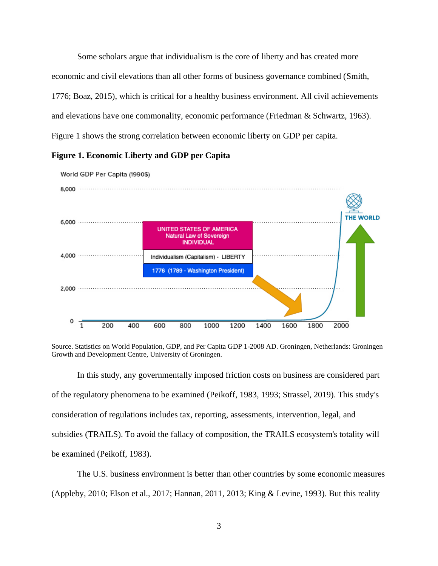Some scholars argue that individualism is the core of liberty and has created more economic and civil elevations than all other forms of business governance combined (Smith, 1776; Boaz, 2015), which is critical for a healthy business environment. All civil achievements and elevations have one commonality, economic performance (Friedman & Schwartz, 1963). Figure 1 shows the strong correlation between economic liberty on GDP per capita.

# **Figure 1. Economic Liberty and GDP per Capita**



World GDP Per Capita (1990\$)

In this study, any governmentally imposed friction costs on business are considered part of the regulatory phenomena to be examined (Peikoff, 1983, 1993; Strassel, 2019). This study's consideration of regulations includes tax, reporting, assessments, intervention, legal, and subsidies (TRAILS). To avoid the fallacy of composition, the TRAILS ecosystem's totality will be examined (Peikoff, 1983).

The U.S. business environment is better than other countries by some economic measures (Appleby, 2010; Elson et al., 2017; Hannan, 2011, 2013; King & Levine, 1993). But this reality

Source. Statistics on World Population, GDP, and Per Capita GDP 1-2008 AD. Groningen, Netherlands: Groningen Growth and Development Centre, University of Groningen.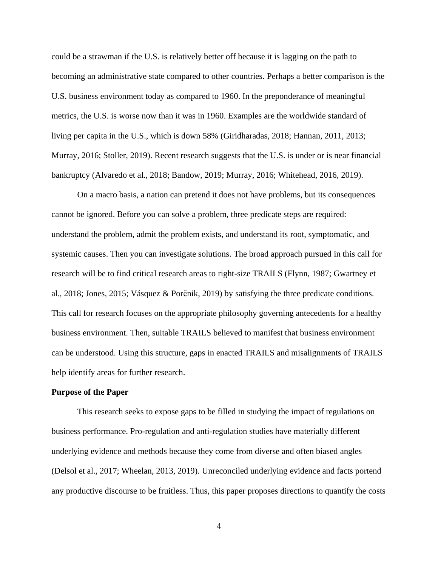could be a strawman if the U.S. is relatively better off because it is lagging on the path to becoming an administrative state compared to other countries. Perhaps a better comparison is the U.S. business environment today as compared to 1960. In the preponderance of meaningful metrics, the U.S. is worse now than it was in 1960. Examples are the worldwide standard of living per capita in the U.S., which is down 58% (Giridharadas, 2018; Hannan, 2011, 2013; Murray, 2016; Stoller, 2019). Recent research suggests that the U.S. is under or is near financial bankruptcy (Alvaredo et al., 2018; Bandow, 2019; Murray, 2016; Whitehead, 2016, 2019).

On a macro basis, a nation can pretend it does not have problems, but its consequences cannot be ignored. Before you can solve a problem, three predicate steps are required: understand the problem, admit the problem exists, and understand its root, symptomatic, and systemic causes. Then you can investigate solutions. The broad approach pursued in this call for research will be to find critical research areas to right-size TRAILS (Flynn, 1987; Gwartney et al., 2018; Jones, 2015; Vásquez & Porc̆nik, 2019) by satisfying the three predicate conditions. This call for research focuses on the appropriate philosophy governing antecedents for a healthy business environment. Then, suitable TRAILS believed to manifest that business environment can be understood. Using this structure, gaps in enacted TRAILS and misalignments of TRAILS help identify areas for further research.

#### **Purpose of the Paper**

This research seeks to expose gaps to be filled in studying the impact of regulations on business performance. Pro-regulation and anti-regulation studies have materially different underlying evidence and methods because they come from diverse and often biased angles (Delsol et al., 2017; Wheelan, 2013, 2019). Unreconciled underlying evidence and facts portend any productive discourse to be fruitless. Thus, this paper proposes directions to quantify the costs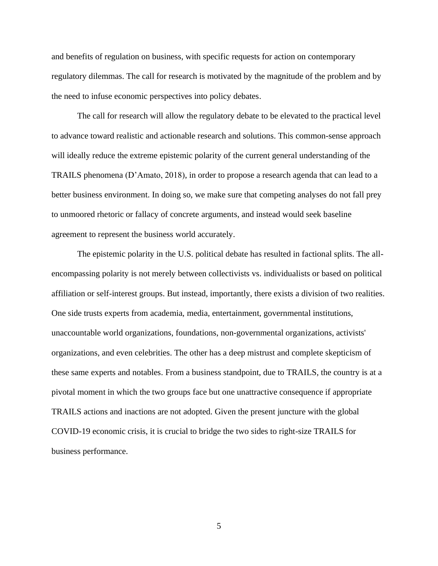and benefits of regulation on business, with specific requests for action on contemporary regulatory dilemmas. The call for research is motivated by the magnitude of the problem and by the need to infuse economic perspectives into policy debates.

The call for research will allow the regulatory debate to be elevated to the practical level to advance toward realistic and actionable research and solutions. This common-sense approach will ideally reduce the extreme epistemic polarity of the current general understanding of the TRAILS phenomena (D'Amato, 2018), in order to propose a research agenda that can lead to a better business environment. In doing so, we make sure that competing analyses do not fall prey to unmoored rhetoric or fallacy of concrete arguments, and instead would seek baseline agreement to represent the business world accurately.

The epistemic polarity in the U.S. political debate has resulted in factional splits. The allencompassing polarity is not merely between collectivists vs. individualists or based on political affiliation or self-interest groups. But instead, importantly, there exists a division of two realities. One side trusts experts from academia, media, entertainment, governmental institutions, unaccountable world organizations, foundations, non-governmental organizations, activists' organizations, and even celebrities. The other has a deep mistrust and complete skepticism of these same experts and notables. From a business standpoint, due to TRAILS, the country is at a pivotal moment in which the two groups face but one unattractive consequence if appropriate TRAILS actions and inactions are not adopted. Given the present juncture with the global COVID-19 economic crisis, it is crucial to bridge the two sides to right-size TRAILS for business performance.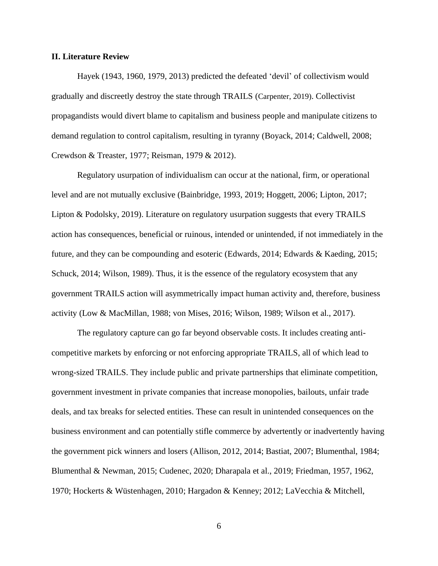### **II. Literature Review**

Hayek (1943, 1960, 1979, 2013) predicted the defeated 'devil' of collectivism would gradually and discreetly destroy the state through TRAILS (Carpenter, 2019). Collectivist propagandists would divert blame to capitalism and business people and manipulate citizens to demand regulation to control capitalism, resulting in tyranny (Boyack, 2014; Caldwell, 2008; Crewdson & Treaster, 1977; Reisman, 1979 & 2012).

Regulatory usurpation of individualism can occur at the national, firm, or operational level and are not mutually exclusive (Bainbridge, 1993, 2019; Hoggett, 2006; Lipton, 2017; Lipton & Podolsky, 2019). Literature on regulatory usurpation suggests that every TRAILS action has consequences, beneficial or ruinous, intended or unintended, if not immediately in the future, and they can be compounding and esoteric (Edwards, 2014; Edwards & Kaeding, 2015; Schuck, 2014; Wilson, 1989). Thus, it is the essence of the regulatory ecosystem that any government TRAILS action will asymmetrically impact human activity and, therefore, business activity (Low & MacMillan, 1988; von Mises, 2016; Wilson, 1989; Wilson et al., 2017).

The regulatory capture can go far beyond observable costs. It includes creating anticompetitive markets by enforcing or not enforcing appropriate TRAILS, all of which lead to wrong-sized TRAILS. They include public and private partnerships that eliminate competition, government investment in private companies that increase monopolies, bailouts, unfair trade deals, and tax breaks for selected entities. These can result in unintended consequences on the business environment and can potentially stifle commerce by advertently or inadvertently having the government pick winners and losers (Allison, 2012, 2014; Bastiat, 2007; Blumenthal, 1984; Blumenthal & Newman, 2015; Cudenec, 2020; Dharapala et al., 2019; Friedman, 1957, 1962, 1970; Hockerts & Wüstenhagen, 2010; Hargadon & Kenney; 2012; LaVecchia & Mitchell,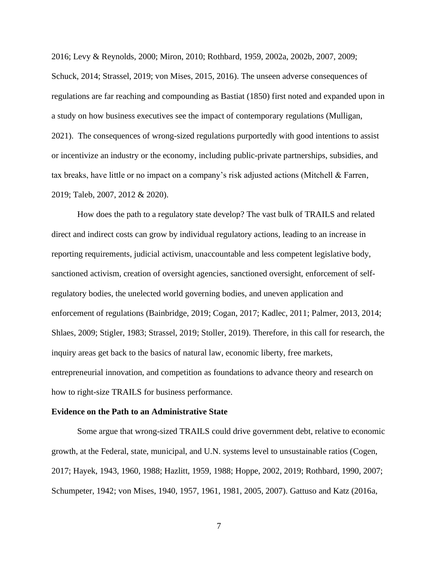2016; Levy & Reynolds, 2000; Miron, 2010; Rothbard, 1959, 2002a, 2002b, 2007, 2009; Schuck, 2014; Strassel, 2019; von Mises, 2015, 2016). The unseen adverse consequences of regulations are far reaching and compounding as Bastiat (1850) first noted and expanded upon in a study on how business executives see the impact of contemporary regulations (Mulligan, 2021). The consequences of wrong-sized regulations purportedly with good intentions to assist or incentivize an industry or the economy, including public-private partnerships, subsidies, and tax breaks, have little or no impact on a company's risk adjusted actions (Mitchell & Farren, 2019; Taleb, 2007, 2012 & 2020).

How does the path to a regulatory state develop? The vast bulk of TRAILS and related direct and indirect costs can grow by individual regulatory actions, leading to an increase in reporting requirements, judicial activism, unaccountable and less competent legislative body, sanctioned activism, creation of oversight agencies, sanctioned oversight, enforcement of selfregulatory bodies, the unelected world governing bodies, and uneven application and enforcement of regulations (Bainbridge, 2019; Cogan, 2017; Kadlec, 2011; Palmer, 2013, 2014; Shlaes, 2009; Stigler, 1983; Strassel, 2019; Stoller, 2019). Therefore, in this call for research, the inquiry areas get back to the basics of natural law, economic liberty, free markets, entrepreneurial innovation, and competition as foundations to advance theory and research on how to right-size TRAILS for business performance.

### **Evidence on the Path to an Administrative State**

Some argue that wrong-sized TRAILS could drive government debt, relative to economic growth, at the Federal, state, municipal, and U.N. systems level to unsustainable ratios (Cogen, 2017; Hayek, 1943, 1960, 1988; Hazlitt, 1959, 1988; Hoppe, 2002, 2019; Rothbard, 1990, 2007; Schumpeter, 1942; von Mises, 1940, 1957, 1961, 1981, 2005, 2007). Gattuso and Katz (2016a,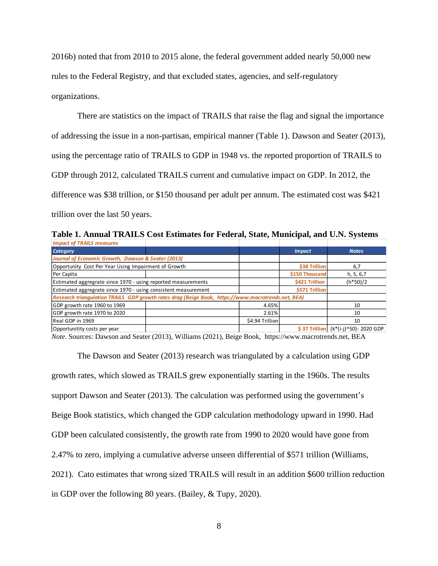2016b) noted that from 2010 to 2015 alone, the federal government added nearly 50,000 new rules to the Federal Registry, and that excluded states, agencies, and self-regulatory organizations.

There are statistics on the impact of TRAILS that raise the flag and signal the importance of addressing the issue in a non-partisan, empirical manner (Table 1). Dawson and Seater (2013), using the percentage ratio of TRAILS to GDP in 1948 vs. the reported proportion of TRAILS to GDP through 2012, calculated TRAILS current and cumulative impact on GDP. In 2012, the difference was \$38 trillion, or \$150 thousand per adult per annum. The estimated cost was \$421 trillion over the last 50 years.

**Table 1. Annual TRAILS Cost Estimates for Federal, State, Municipal, and U.N. Systems** *Impact of TRAILS measures*

| mpace of infinite measures                                                                         |  |                 |                |                                          |
|----------------------------------------------------------------------------------------------------|--|-----------------|----------------|------------------------------------------|
| <b>Category</b>                                                                                    |  |                 | <b>Impact</b>  | <b>Notes</b>                             |
| Journal of Economic Growth, Dawson & Seater (2013)                                                 |  |                 |                |                                          |
| Opportunity Cost Per Year Using Impairment of Growth                                               |  |                 | \$38 Trillion  | 6,7                                      |
| Per Capita                                                                                         |  |                 | \$150 Thousand | h, 5, 6,7                                |
| Estimated aggregrate since 1970 - using reported measurements                                      |  |                 | \$421 Trillion | $(h*50)/2$                               |
| Estimated aggregrate since 1970 - using consistent measurement                                     |  |                 | \$571 Trillion |                                          |
| Research triangulation TRAILS GDP growth rates drag (Beige Book, https://www.macrotrends.net, BEA) |  |                 |                |                                          |
| GDP growth rate 1960 to 1969                                                                       |  | 4.65%           |                | 10                                       |
| GDP growth rate 1970 to 2020                                                                       |  | 2.61%           |                | 10                                       |
| Real GDP in 1969                                                                                   |  | \$4.94 Trillion |                | 10                                       |
| Opportunitity costs per year                                                                       |  |                 |                | \$37 Trillion $(k*(i-i)$ ^50) - 2020 GDP |

*Note*. Sources: Dawson and Seater (2013), Williams (2021), Beige Book, https://www.macrotrends.net, BEA

The Dawson and Seater (2013) research was triangulated by a calculation using GDP growth rates, which slowed as TRAILS grew exponentially starting in the 1960s. The results support Dawson and Seater (2013). The calculation was performed using the government's Beige Book statistics, which changed the GDP calculation methodology upward in 1990. Had GDP been calculated consistently, the growth rate from 1990 to 2020 would have gone from 2.47% to zero, implying a cumulative adverse unseen differential of \$571 trillion (Williams, 2021). Cato estimates that wrong sized TRAILS will result in an addition \$600 trillion reduction in GDP over the following 80 years. (Bailey, & Tupy, 2020).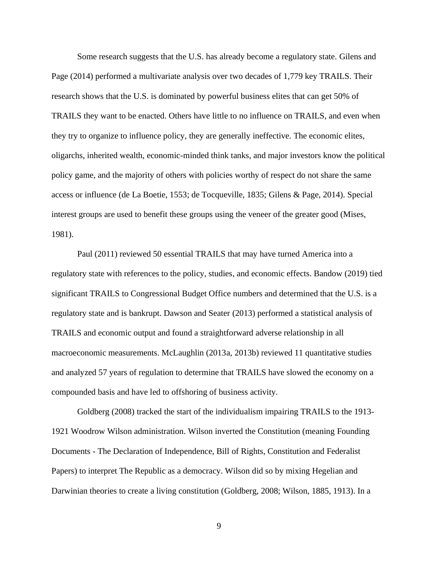Some research suggests that the U.S. has already become a regulatory state. Gilens and Page (2014) performed a multivariate analysis over two decades of 1,779 key TRAILS. Their research shows that the U.S. is dominated by powerful business elites that can get 50% of TRAILS they want to be enacted. Others have little to no influence on TRAILS, and even when they try to organize to influence policy, they are generally ineffective. The economic elites, oligarchs, inherited wealth, economic-minded think tanks, and major investors know the political policy game, and the majority of others with policies worthy of respect do not share the same access or influence (de La Boetie, 1553; de Tocqueville, 1835; Gilens & Page, 2014). Special interest groups are used to benefit these groups using the veneer of the greater good (Mises, 1981).

Paul (2011) reviewed 50 essential TRAILS that may have turned America into a regulatory state with references to the policy, studies, and economic effects. Bandow (2019) tied significant TRAILS to Congressional Budget Office numbers and determined that the U.S. is a regulatory state and is bankrupt. Dawson and Seater (2013) performed a statistical analysis of TRAILS and economic output and found a straightforward adverse relationship in all macroeconomic measurements. McLaughlin (2013a, 2013b) reviewed 11 quantitative studies and analyzed 57 years of regulation to determine that TRAILS have slowed the economy on a compounded basis and have led to offshoring of business activity.

Goldberg (2008) tracked the start of the individualism impairing TRAILS to the 1913- 1921 Woodrow Wilson administration. Wilson inverted the Constitution (meaning Founding Documents - The Declaration of Independence, Bill of Rights, Constitution and Federalist Papers) to interpret The Republic as a democracy. Wilson did so by mixing Hegelian and Darwinian theories to create a living constitution (Goldberg, 2008; Wilson, 1885, 1913). In a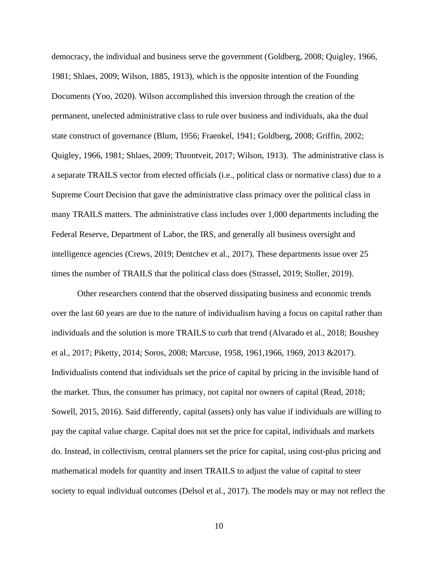democracy, the individual and business serve the government (Goldberg, 2008; Quigley, 1966, 1981; Shlaes, 2009; Wilson, 1885, 1913), which is the opposite intention of the Founding Documents (Yoo, 2020). Wilson accomplished this inversion through the creation of the permanent, unelected administrative class to rule over business and individuals, aka the dual state construct of governance (Blum, 1956; Fraenkel, 1941; Goldberg, 2008; Griffin, 2002; Quigley, 1966, 1981; Shlaes, 2009; Throntveit, 2017; Wilson, 1913). The administrative class is a separate TRAILS vector from elected officials (i.e., political class or normative class) due to a Supreme Court Decision that gave the administrative class primacy over the political class in many TRAILS matters. The administrative class includes over 1,000 departments including the Federal Reserve, Department of Labor, the IRS, and generally all business oversight and intelligence agencies (Crews, 2019; Dentchev et al., 2017). These departments issue over 25 times the number of TRAILS that the political class does (Strassel, 2019; Stoller, 2019).

Other researchers contend that the observed dissipating business and economic trends over the last 60 years are due to the nature of individualism having a focus on capital rather than individuals and the solution is more TRAILS to curb that trend (Alvarado et al., 2018; Boushey et al., 2017; Piketty, 2014; Soros, 2008; Marcuse, 1958, 1961,1966, 1969, 2013 &2017). Individualists contend that individuals set the price of capital by pricing in the invisible hand of the market. Thus, the consumer has primacy, not capital nor owners of capital (Read, 2018; Sowell, 2015, 2016). Said differently, capital (assets) only has value if individuals are willing to pay the capital value charge. Capital does not set the price for capital, individuals and markets do. Instead, in collectivism, central planners set the price for capital, using cost-plus pricing and mathematical models for quantity and insert TRAILS to adjust the value of capital to steer society to equal individual outcomes (Delsol et al., 2017). The models may or may not reflect the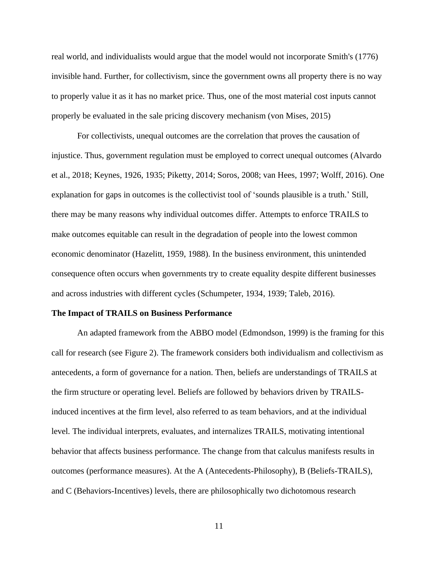real world, and individualists would argue that the model would not incorporate Smith's (1776) invisible hand. Further, for collectivism, since the government owns all property there is no way to properly value it as it has no market price. Thus, one of the most material cost inputs cannot properly be evaluated in the sale pricing discovery mechanism (von Mises, 2015)

For collectivists, unequal outcomes are the correlation that proves the causation of injustice. Thus, government regulation must be employed to correct unequal outcomes (Alvardo et al., 2018; Keynes, 1926, 1935; Piketty, 2014; Soros, 2008; van Hees, 1997; Wolff, 2016). One explanation for gaps in outcomes is the collectivist tool of 'sounds plausible is a truth.' Still, there may be many reasons why individual outcomes differ. Attempts to enforce TRAILS to make outcomes equitable can result in the degradation of people into the lowest common economic denominator (Hazelitt, 1959, 1988). In the business environment, this unintended consequence often occurs when governments try to create equality despite different businesses and across industries with different cycles (Schumpeter, 1934, 1939; Taleb, 2016).

#### **The Impact of TRAILS on Business Performance**

An adapted framework from the ABBO model (Edmondson, 1999) is the framing for this call for research (see Figure 2). The framework considers both individualism and collectivism as antecedents, a form of governance for a nation. Then, beliefs are understandings of TRAILS at the firm structure or operating level. Beliefs are followed by behaviors driven by TRAILSinduced incentives at the firm level, also referred to as team behaviors*,* and at the individual level. The individual interprets, evaluates, and internalizes TRAILS, motivating intentional behavior that affects business performance. The change from that calculus manifests results in outcomes (performance measures). At the A (Antecedents-Philosophy), B (Beliefs-TRAILS), and C (Behaviors-Incentives) levels, there are philosophically two dichotomous research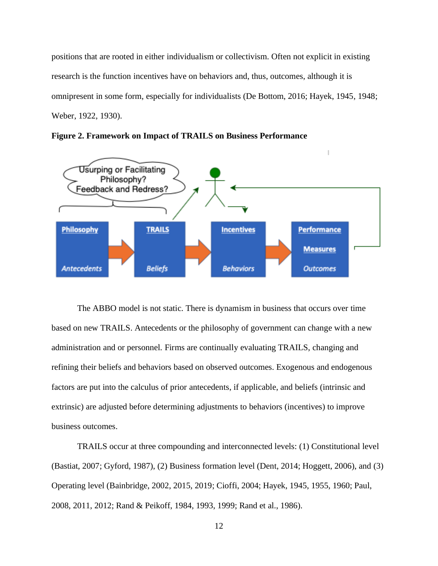positions that are rooted in either individualism or collectivism. Often not explicit in existing research is the function incentives have on behaviors and, thus, outcomes, although it is omnipresent in some form, especially for individualists (De Bottom, 2016; Hayek, 1945, 1948; Weber, 1922, 1930).



**Figure 2. Framework on Impact of TRAILS on Business Performance**

The ABBO model is not static. There is dynamism in business that occurs over time based on new TRAILS. Antecedents or the philosophy of government can change with a new administration and or personnel. Firms are continually evaluating TRAILS, changing and refining their beliefs and behaviors based on observed outcomes. Exogenous and endogenous factors are put into the calculus of prior antecedents, if applicable, and beliefs (intrinsic and extrinsic) are adjusted before determining adjustments to behaviors (incentives) to improve business outcomes.

TRAILS occur at three compounding and interconnected levels: (1) Constitutional level (Bastiat, 2007; Gyford, 1987), (2) Business formation level (Dent, 2014; Hoggett, 2006), and (3) Operating level (Bainbridge, 2002, 2015, 2019; Cioffi, 2004; Hayek, 1945, 1955, 1960; Paul, 2008, 2011, 2012; Rand & Peikoff, 1984, 1993, 1999; Rand et al., 1986).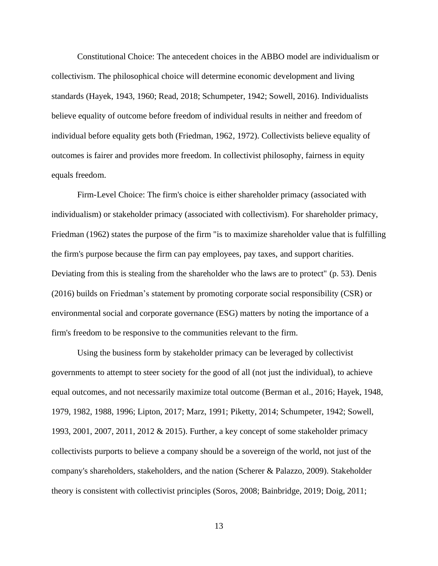Constitutional Choice: The antecedent choices in the ABBO model are individualism or collectivism. The philosophical choice will determine economic development and living standards (Hayek, 1943, 1960; Read, 2018; Schumpeter, 1942; Sowell, 2016). Individualists believe equality of outcome before freedom of individual results in neither and freedom of individual before equality gets both (Friedman, 1962, 1972). Collectivists believe equality of outcomes is fairer and provides more freedom. In collectivist philosophy, fairness in equity equals freedom.

Firm-Level Choice: The firm's choice is either shareholder primacy (associated with individualism) or stakeholder primacy (associated with collectivism). For shareholder primacy, Friedman (1962) states the purpose of the firm "is to maximize shareholder value that is fulfilling the firm's purpose because the firm can pay employees, pay taxes, and support charities. Deviating from this is stealing from the shareholder who the laws are to protect" (p. 53). Denis (2016) builds on Friedman's statement by promoting corporate social responsibility (CSR) or environmental social and corporate governance (ESG) matters by noting the importance of a firm's freedom to be responsive to the communities relevant to the firm.

Using the business form by stakeholder primacy can be leveraged by collectivist governments to attempt to steer society for the good of all (not just the individual), to achieve equal outcomes, and not necessarily maximize total outcome (Berman et al., 2016; Hayek, 1948, 1979, 1982, 1988, 1996; Lipton, 2017; Marz, 1991; Piketty, 2014; Schumpeter, 1942; Sowell, 1993, 2001, 2007, 2011, 2012 & 2015). Further, a key concept of some stakeholder primacy collectivists purports to believe a company should be a sovereign of the world, not just of the company's shareholders, stakeholders, and the nation (Scherer & Palazzo, 2009). Stakeholder theory is consistent with collectivist principles (Soros, 2008; Bainbridge, 2019; Doig, 2011;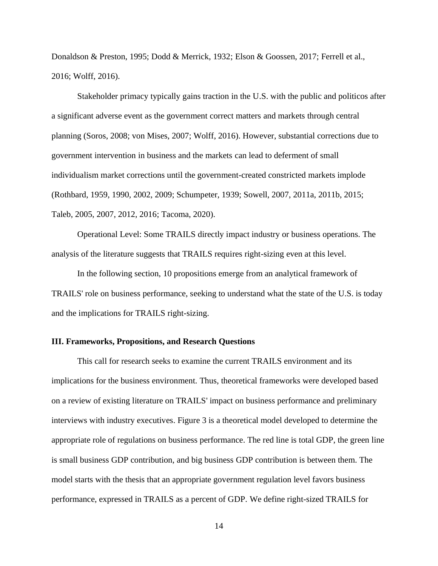Donaldson & Preston, 1995; Dodd & Merrick, 1932; Elson & Goossen, 2017; Ferrell et al., 2016; Wolff, 2016).

Stakeholder primacy typically gains traction in the U.S. with the public and politicos after a significant adverse event as the government correct matters and markets through central planning (Soros, 2008; von Mises, 2007; Wolff, 2016). However, substantial corrections due to government intervention in business and the markets can lead to deferment of small individualism market corrections until the government-created constricted markets implode (Rothbard, 1959, 1990, 2002, 2009; Schumpeter, 1939; Sowell, 2007, 2011a, 2011b, 2015; Taleb, 2005, 2007, 2012, 2016; Tacoma, 2020).

Operational Level: Some TRAILS directly impact industry or business operations. The analysis of the literature suggests that TRAILS requires right-sizing even at this level.

In the following section, 10 propositions emerge from an analytical framework of TRAILS' role on business performance, seeking to understand what the state of the U.S. is today and the implications for TRAILS right-sizing.

### **III. Frameworks, Propositions, and Research Questions**

This call for research seeks to examine the current TRAILS environment and its implications for the business environment. Thus, theoretical frameworks were developed based on a review of existing literature on TRAILS' impact on business performance and preliminary interviews with industry executives. Figure 3 is a theoretical model developed to determine the appropriate role of regulations on business performance. The red line is total GDP, the green line is small business GDP contribution, and big business GDP contribution is between them. The model starts with the thesis that an appropriate government regulation level favors business performance, expressed in TRAILS as a percent of GDP. We define right-sized TRAILS for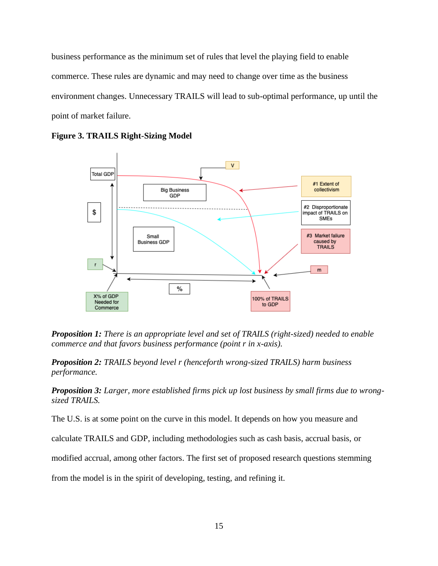business performance as the minimum set of rules that level the playing field to enable commerce. These rules are dynamic and may need to change over time as the business environment changes. Unnecessary TRAILS will lead to sub-optimal performance, up until the point of market failure.



**Figure 3. TRAILS Right-Sizing Model**

*Proposition 1: There is an appropriate level and set of TRAILS (right-sized) needed to enable commerce and that favors business performance (point r in x-axis).*

*Proposition 2: TRAILS beyond level r (henceforth wrong-sized TRAILS) harm business performance.*

*Proposition 3: Larger, more established firms pick up lost business by small firms due to wrongsized TRAILS.*

The U.S. is at some point on the curve in this model. It depends on how you measure and

calculate TRAILS and GDP, including methodologies such as cash basis, accrual basis, or

modified accrual, among other factors. The first set of proposed research questions stemming

from the model is in the spirit of developing, testing, and refining it.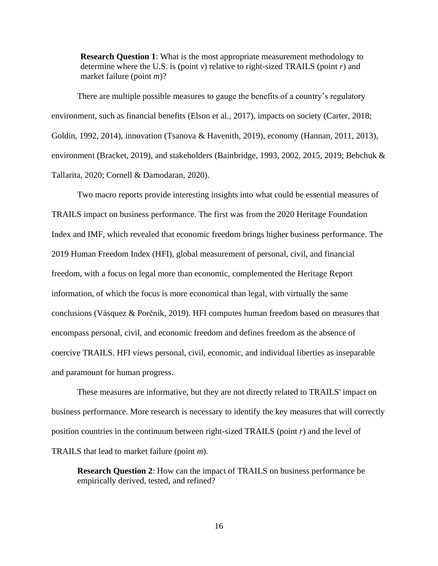**Research Question 1**: What is the most appropriate measurement methodology to determine where the U.S. is (point *v*) relative to right-sized TRAILS (point *r*) and market failure (point *m*)?

There are multiple possible measures to gauge the benefits of a country's regulatory environment, such as financial benefits (Elson et al., 2017), impacts on society (Carter, 2018; Goldin, 1992, 2014), innovation (Tsanova & Havenith, 2019), economy (Hannan, 2011, 2013), environment (Bracket, 2019), and stakeholders (Bainbridge, 1993, 2002, 2015, 2019; Bebchuk & Tallarita, 2020; Cornell & Damodaran, 2020).

Two macro reports provide interesting insights into what could be essential measures of TRAILS impact on business performance. The first was from the 2020 Heritage Foundation Index and IMF, which revealed that economic freedom brings higher business performance. The 2019 Human Freedom Index (HFI), global measurement of personal, civil, and financial freedom, with a focus on legal more than economic, complemented the Heritage Report information, of which the focus is more economical than legal, with virtually the same conclusions (Vásquez & Porčnik, 2019). HFI computes human freedom based on measures that encompass personal, civil, and economic freedom and defines freedom as the absence of coercive TRAILS. HFI views personal, civil, economic, and individual liberties as inseparable and paramount for human progress.

These measures are informative, but they are not directly related to TRAILS' impact on business performance. More research is necessary to identify the key measures that will correctly position countries in the continuum between right-sized TRAILS (point *r*) and the level of TRAILS that lead to market failure (point *m*).

**Research Question 2**: How can the impact of TRAILS on business performance be empirically derived, tested, and refined?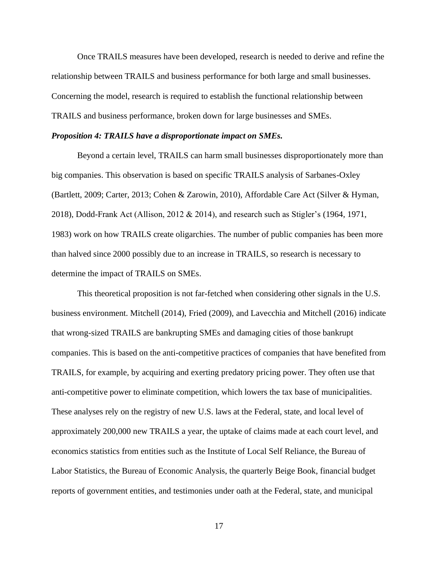Once TRAILS measures have been developed, research is needed to derive and refine the relationship between TRAILS and business performance for both large and small businesses. Concerning the model, research is required to establish the functional relationship between TRAILS and business performance, broken down for large businesses and SMEs.

#### *Proposition 4: TRAILS have a disproportionate impact on SMEs.*

Beyond a certain level, TRAILS can harm small businesses disproportionately more than big companies. This observation is based on specific TRAILS analysis of Sarbanes-Oxley (Bartlett, 2009; Carter, 2013; Cohen & Zarowin, 2010), Affordable Care Act (Silver & Hyman, 2018), Dodd-Frank Act (Allison, 2012 & 2014), and research such as Stigler's (1964, 1971, 1983) work on how TRAILS create oligarchies. The number of public companies has been more than halved since 2000 possibly due to an increase in TRAILS, so research is necessary to determine the impact of TRAILS on SMEs.

This theoretical proposition is not far-fetched when considering other signals in the U.S. business environment. Mitchell (2014), Fried (2009), and Lavecchia and Mitchell (2016) indicate that wrong-sized TRAILS are bankrupting SMEs and damaging cities of those bankrupt companies. This is based on the anti-competitive practices of companies that have benefited from TRAILS, for example, by acquiring and exerting predatory pricing power. They often use that anti-competitive power to eliminate competition, which lowers the tax base of municipalities. These analyses rely on the registry of new U.S. laws at the Federal, state, and local level of approximately 200,000 new TRAILS a year, the uptake of claims made at each court level, and economics statistics from entities such as the Institute of Local Self Reliance, the Bureau of Labor Statistics, the Bureau of Economic Analysis, the quarterly Beige Book, financial budget reports of government entities, and testimonies under oath at the Federal, state, and municipal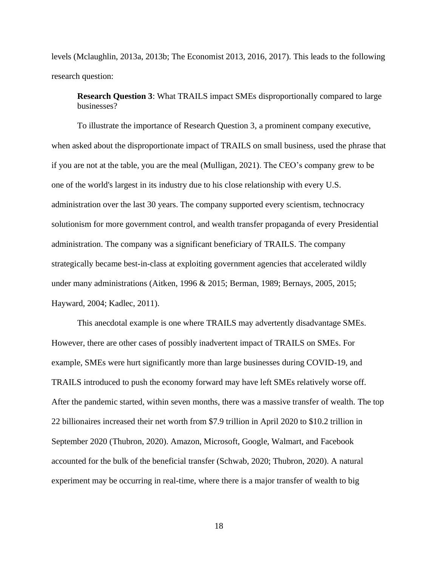levels (Mclaughlin, 2013a, 2013b; The Economist 2013, 2016, 2017). This leads to the following research question:

**Research Question 3**: What TRAILS impact SMEs disproportionally compared to large businesses?

To illustrate the importance of Research Question 3, a prominent company executive, when asked about the disproportionate impact of TRAILS on small business, used the phrase that if you are not at the table, you are the meal (Mulligan, 2021). The CEO's company grew to be one of the world's largest in its industry due to his close relationship with every U.S. administration over the last 30 years. The company supported every scientism, technocracy solutionism for more government control, and wealth transfer propaganda of every Presidential administration. The company was a significant beneficiary of TRAILS. The company strategically became best-in-class at exploiting government agencies that accelerated wildly under many administrations (Aitken, 1996 & 2015; Berman, 1989; Bernays, 2005, 2015; Hayward, 2004; Kadlec, 2011).

This anecdotal example is one where TRAILS may advertently disadvantage SMEs. However, there are other cases of possibly inadvertent impact of TRAILS on SMEs. For example, SMEs were hurt significantly more than large businesses during COVID-19, and TRAILS introduced to push the economy forward may have left SMEs relatively worse off. After the pandemic started, within seven months, there was a massive transfer of wealth. The top 22 billionaires increased their net worth from \$7.9 trillion in April 2020 to \$10.2 trillion in September 2020 (Thubron, 2020). Amazon, Microsoft, Google, Walmart, and Facebook accounted for the bulk of the beneficial transfer (Schwab, 2020; Thubron, 2020). A natural experiment may be occurring in real-time, where there is a major transfer of wealth to big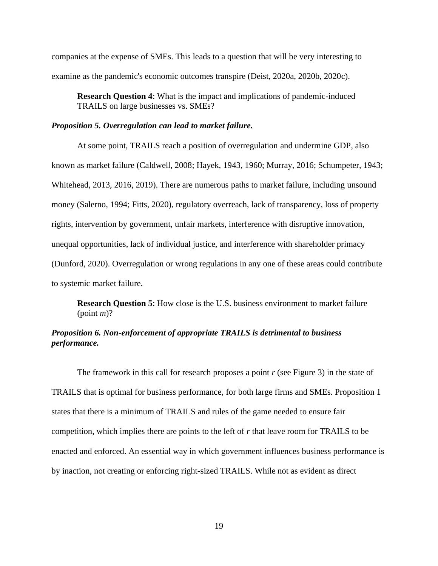companies at the expense of SMEs. This leads to a question that will be very interesting to examine as the pandemic's economic outcomes transpire (Deist, 2020a, 2020b, 2020c).

**Research Question 4**: What is the impact and implications of pandemic-induced TRAILS on large businesses vs. SMEs?

## *Proposition 5. Overregulation can lead to market failure.*

At some point, TRAILS reach a position of overregulation and undermine GDP, also known as market failure (Caldwell, 2008; Hayek, 1943, 1960; Murray, 2016; Schumpeter, 1943; Whitehead, 2013, 2016, 2019). There are numerous paths to market failure, including unsound money (Salerno, 1994; Fitts, 2020), regulatory overreach, lack of transparency, loss of property rights, intervention by government, unfair markets, interference with disruptive innovation, unequal opportunities, lack of individual justice, and interference with shareholder primacy (Dunford, 2020). Overregulation or wrong regulations in any one of these areas could contribute to systemic market failure.

**Research Question 5**: How close is the U.S. business environment to market failure (point *m*)?

# *Proposition 6. Non-enforcement of appropriate TRAILS is detrimental to business performance.*

The framework in this call for research proposes a point *r* (see Figure 3) in the state of TRAILS that is optimal for business performance, for both large firms and SMEs. Proposition 1 states that there is a minimum of TRAILS and rules of the game needed to ensure fair competition, which implies there are points to the left of *r* that leave room for TRAILS to be enacted and enforced. An essential way in which government influences business performance is by inaction, not creating or enforcing right-sized TRAILS. While not as evident as direct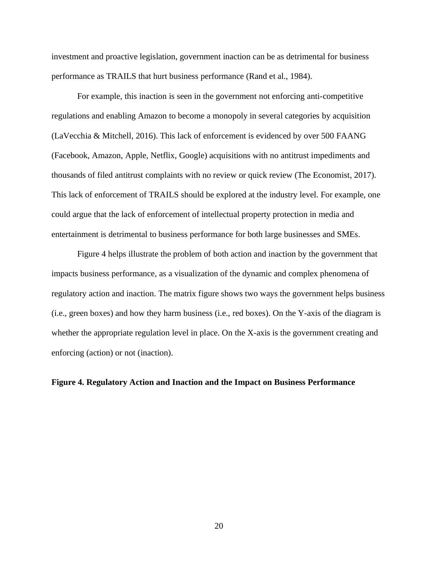investment and proactive legislation, government inaction can be as detrimental for business performance as TRAILS that hurt business performance (Rand et al., 1984).

For example, this inaction is seen in the government not enforcing anti-competitive regulations and enabling Amazon to become a monopoly in several categories by acquisition (LaVecchia & Mitchell, 2016). This lack of enforcement is evidenced by over 500 FAANG (Facebook, Amazon, Apple, Netflix, Google) acquisitions with no antitrust impediments and thousands of filed antitrust complaints with no review or quick review (The Economist, 2017). This lack of enforcement of TRAILS should be explored at the industry level. For example, one could argue that the lack of enforcement of intellectual property protection in media and entertainment is detrimental to business performance for both large businesses and SMEs.

Figure 4 helps illustrate the problem of both action and inaction by the government that impacts business performance, as a visualization of the dynamic and complex phenomena of regulatory action and inaction. The matrix figure shows two ways the government helps business (i.e., green boxes) and how they harm business (i.e., red boxes). On the Y-axis of the diagram is whether the appropriate regulation level in place. On the X-axis is the government creating and enforcing (action) or not (inaction).

### **Figure 4. Regulatory Action and Inaction and the Impact on Business Performance**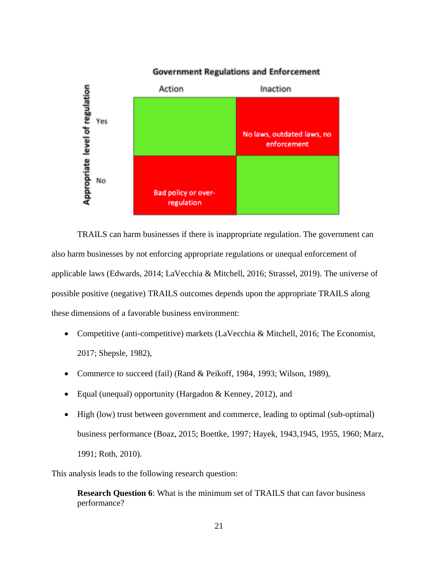

# **Government Regulations and Enforcement**

TRAILS can harm businesses if there is inappropriate regulation. The government can also harm businesses by not enforcing appropriate regulations or unequal enforcement of applicable laws (Edwards, 2014; LaVecchia & Mitchell, 2016; Strassel, 2019). The universe of possible positive (negative) TRAILS outcomes depends upon the appropriate TRAILS along these dimensions of a favorable business environment:

- Competitive (anti-competitive) markets (LaVecchia & Mitchell, 2016; The Economist, 2017; Shepsle, 1982),
- Commerce to succeed (fail) (Rand & Peikoff, 1984, 1993; Wilson, 1989),
- Equal (unequal) opportunity (Hargadon & Kenney, 2012), and
- High (low) trust between government and commerce, leading to optimal (sub-optimal) business performance (Boaz, 2015; Boettke, 1997; Hayek, 1943,1945, 1955, 1960; Marz, 1991; Roth, 2010).

This analysis leads to the following research question:

**Research Question 6**: What is the minimum set of TRAILS that can favor business performance?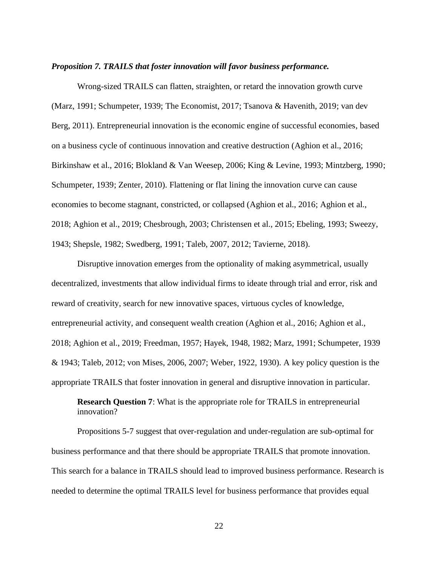### *Proposition 7. TRAILS that foster innovation will favor business performance.*

Wrong-sized TRAILS can flatten, straighten, or retard the innovation growth curve (Marz, 1991; Schumpeter, 1939; The Economist, 2017; Tsanova & Havenith, 2019; van dev Berg, 2011). Entrepreneurial innovation is the economic engine of successful economies, based on a business cycle of continuous innovation and creative destruction (Aghion et al., 2016; Birkinshaw et al., 2016; Blokland & Van Weesep, 2006; King & Levine, 1993; Mintzberg, 1990; Schumpeter, 1939; Zenter, 2010). Flattening or flat lining the innovation curve can cause economies to become stagnant, constricted, or collapsed (Aghion et al., 2016; Aghion et al., 2018; Aghion et al., 2019; Chesbrough, 2003; Christensen et al., 2015; Ebeling, 1993; Sweezy, 1943; Shepsle, 1982; Swedberg, 1991; Taleb, 2007, 2012; Tavierne, 2018).

Disruptive innovation emerges from the optionality of making asymmetrical, usually decentralized, investments that allow individual firms to ideate through trial and error, risk and reward of creativity, search for new innovative spaces, virtuous cycles of knowledge, entrepreneurial activity, and consequent wealth creation (Aghion et al., 2016; Aghion et al., 2018; Aghion et al., 2019; Freedman, 1957; Hayek, 1948, 1982; Marz, 1991; Schumpeter, 1939 & 1943; Taleb, 2012; von Mises, 2006, 2007; Weber, 1922, 1930). A key policy question is the appropriate TRAILS that foster innovation in general and disruptive innovation in particular.

**Research Question 7**: What is the appropriate role for TRAILS in entrepreneurial innovation?

Propositions 5-7 suggest that over-regulation and under-regulation are sub-optimal for business performance and that there should be appropriate TRAILS that promote innovation. This search for a balance in TRAILS should lead to improved business performance. Research is needed to determine the optimal TRAILS level for business performance that provides equal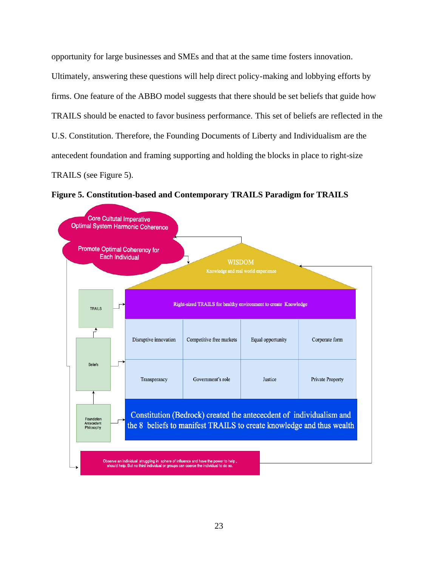opportunity for large businesses and SMEs and that at the same time fosters innovation. Ultimately, answering these questions will help direct policy-making and lobbying efforts by firms. One feature of the ABBO model suggests that there should be set beliefs that guide how TRAILS should be enacted to favor business performance. This set of beliefs are reflected in the U.S. Constitution. Therefore, the Founding Documents of Liberty and Individualism are the antecedent foundation and framing supporting and holding the blocks in place to right-size TRAILS (see Figure 5).

**Figure 5. Constitution-based and Contemporary TRAILS Paradigm for TRAILS**

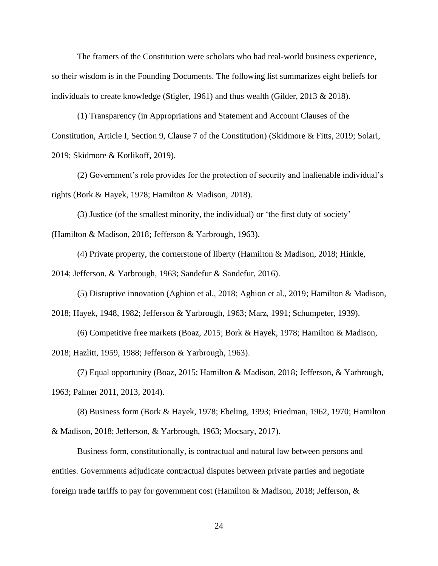The framers of the Constitution were scholars who had real-world business experience, so their wisdom is in the Founding Documents. The following list summarizes eight beliefs for individuals to create knowledge (Stigler, 1961) and thus wealth (Gilder, 2013 & 2018).

(1) Transparency (in Appropriations and Statement and Account Clauses of the Constitution, Article I, Section 9, Clause 7 of the Constitution) (Skidmore & Fitts, 2019; Solari, 2019; Skidmore & Kotlikoff, 2019).

(2) Government's role provides for the protection of security and inalienable individual's rights (Bork & Hayek, 1978; Hamilton & Madison, 2018).

(3) Justice (of the smallest minority, the individual) or 'the first duty of society' (Hamilton & Madison, 2018; Jefferson & Yarbrough, 1963).

(4) Private property, the cornerstone of liberty (Hamilton & Madison, 2018; Hinkle, 2014; Jefferson, & Yarbrough, 1963; Sandefur & Sandefur, 2016).

(5) Disruptive innovation (Aghion et al., 2018; Aghion et al., 2019; Hamilton & Madison, 2018; Hayek, 1948, 1982; Jefferson & Yarbrough, 1963; Marz, 1991; Schumpeter, 1939).

(6) Competitive free markets (Boaz, 2015; Bork & Hayek, 1978; Hamilton & Madison, 2018; Hazlitt, 1959, 1988; Jefferson & Yarbrough, 1963).

(7) Equal opportunity (Boaz, 2015; Hamilton & Madison, 2018; Jefferson, & Yarbrough, 1963; Palmer 2011, 2013, 2014).

(8) Business form (Bork & Hayek, 1978; Ebeling, 1993; Friedman, 1962, 1970; Hamilton & Madison, 2018; Jefferson, & Yarbrough, 1963; Mocsary, 2017).

Business form, constitutionally, is contractual and natural law between persons and entities. Governments adjudicate contractual disputes between private parties and negotiate foreign trade tariffs to pay for government cost (Hamilton & Madison, 2018; Jefferson, &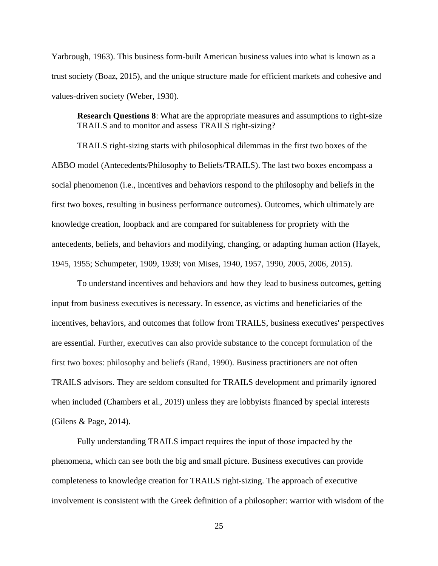Yarbrough, 1963). This business form-built American business values into what is known as a trust society (Boaz, 2015), and the unique structure made for efficient markets and cohesive and values-driven society (Weber, 1930).

**Research Questions 8**: What are the appropriate measures and assumptions to right-size TRAILS and to monitor and assess TRAILS right-sizing?

TRAILS right-sizing starts with philosophical dilemmas in the first two boxes of the ABBO model (Antecedents/Philosophy to Beliefs/TRAILS). The last two boxes encompass a social phenomenon (i.e., incentives and behaviors respond to the philosophy and beliefs in the first two boxes, resulting in business performance outcomes). Outcomes, which ultimately are knowledge creation, loopback and are compared for suitableness for propriety with the antecedents, beliefs, and behaviors and modifying, changing, or adapting human action (Hayek, 1945, 1955; Schumpeter, 1909, 1939; von Mises, 1940, 1957, 1990, 2005, 2006, 2015).

To understand incentives and behaviors and how they lead to business outcomes, getting input from business executives is necessary. In essence, as victims and beneficiaries of the incentives, behaviors, and outcomes that follow from TRAILS, business executives' perspectives are essential. Further, executives can also provide substance to the concept formulation of the first two boxes: philosophy and beliefs (Rand, 1990). Business practitioners are not often TRAILS advisors. They are seldom consulted for TRAILS development and primarily ignored when included (Chambers et al., 2019) unless they are lobbyists financed by special interests (Gilens & Page, 2014).

Fully understanding TRAILS impact requires the input of those impacted by the phenomena, which can see both the big and small picture. Business executives can provide completeness to knowledge creation for TRAILS right-sizing. The approach of executive involvement is consistent with the Greek definition of a philosopher: warrior with wisdom of the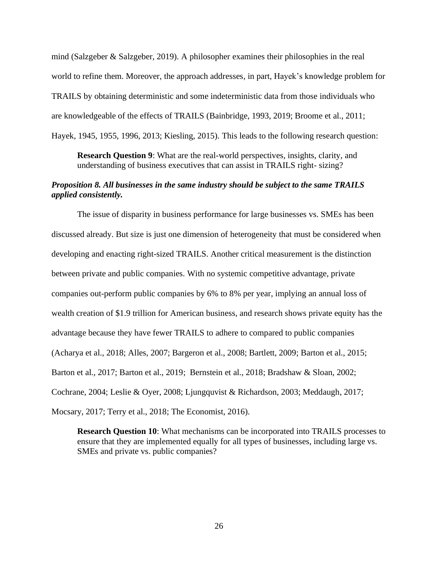mind (Salzgeber & Salzgeber, 2019). A philosopher examines their philosophies in the real world to refine them. Moreover, the approach addresses, in part, Hayek's knowledge problem for TRAILS by obtaining deterministic and some indeterministic data from those individuals who are knowledgeable of the effects of TRAILS (Bainbridge, 1993, 2019; Broome et al., 2011; Hayek, 1945, 1955, 1996, 2013; Kiesling, 2015). This leads to the following research question:

**Research Question 9**: What are the real-world perspectives, insights, clarity, and understanding of business executives that can assist in TRAILS right- sizing?

# *Proposition 8. All businesses in the same industry should be subject to the same TRAILS applied consistently.*

The issue of disparity in business performance for large businesses vs. SMEs has been discussed already. But size is just one dimension of heterogeneity that must be considered when developing and enacting right-sized TRAILS. Another critical measurement is the distinction between private and public companies. With no systemic competitive advantage, private companies out-perform public companies by 6% to 8% per year, implying an annual loss of wealth creation of \$1.9 trillion for American business, and research shows private equity has the advantage because they have fewer TRAILS to adhere to compared to public companies (Acharya et al., 2018; Alles, 2007; Bargeron et al., 2008; Bartlett, 2009; Barton et al., 2015; Barton et al., 2017; Barton et al., 2019; Bernstein et al., 2018; Bradshaw & Sloan, 2002; Cochrane, 2004; Leslie & Oyer, 2008; Ljungquvist & Richardson, 2003; Meddaugh, 2017; Mocsary, 2017; Terry et al., 2018; The Economist, 2016).

**Research Question 10**: What mechanisms can be incorporated into TRAILS processes to ensure that they are implemented equally for all types of businesses, including large vs. SMEs and private vs. public companies?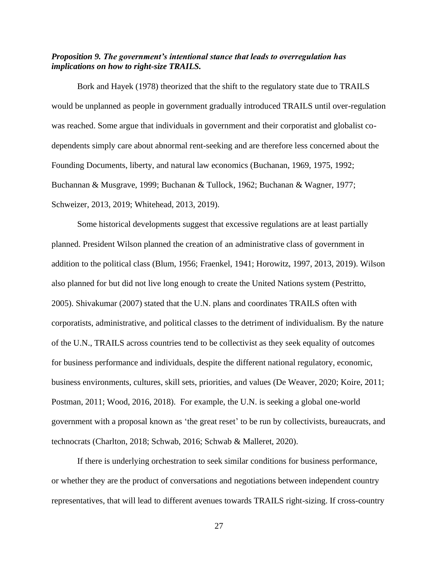# *Proposition 9. The government's intentional stance that leads to overregulation has implications on how to right-size TRAILS.*

Bork and Hayek (1978) theorized that the shift to the regulatory state due to TRAILS would be unplanned as people in government gradually introduced TRAILS until over-regulation was reached. Some argue that individuals in government and their corporatist and globalist codependents simply care about abnormal rent-seeking and are therefore less concerned about the Founding Documents, liberty, and natural law economics (Buchanan, 1969, 1975, 1992; Buchannan & Musgrave, 1999; Buchanan & Tullock, 1962; Buchanan & Wagner, 1977; Schweizer, 2013, 2019; Whitehead, 2013, 2019).

Some historical developments suggest that excessive regulations are at least partially planned. President Wilson planned the creation of an administrative class of government in addition to the political class (Blum, 1956; Fraenkel, 1941; Horowitz, 1997, 2013, 2019). Wilson also planned for but did not live long enough to create the United Nations system (Pestritto, 2005). Shivakumar (2007) stated that the U.N. plans and coordinates TRAILS often with corporatists, administrative, and political classes to the detriment of individualism. By the nature of the U.N., TRAILS across countries tend to be collectivist as they seek equality of outcomes for business performance and individuals, despite the different national regulatory, economic, business environments, cultures, skill sets, priorities, and values (De Weaver, 2020; Koire, 2011; Postman, 2011; Wood, 2016, 2018). For example, the U.N. is seeking a global one-world government with a proposal known as 'the great reset' to be run by collectivists, bureaucrats, and technocrats (Charlton, 2018; Schwab, 2016; Schwab & Malleret, 2020).

If there is underlying orchestration to seek similar conditions for business performance, or whether they are the product of conversations and negotiations between independent country representatives, that will lead to different avenues towards TRAILS right-sizing. If cross-country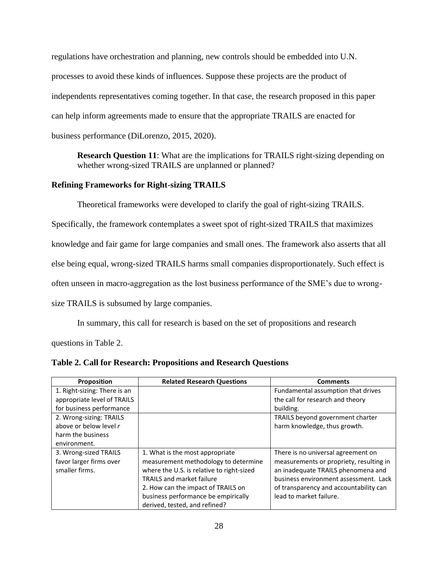regulations have orchestration and planning, new controls should be embedded into U.N. processes to avoid these kinds of influences. Suppose these projects are the product of independents representatives coming together. In that case, the research proposed in this paper can help inform agreements made to ensure that the appropriate TRAILS are enacted for business performance (DiLorenzo, 2015, 2020).

**Research Question 11:** What are the implications for TRAILS right-sizing depending on whether wrong-sized TRAILS are unplanned or planned?

# **Refining Frameworks for Right-sizing TRAILS**

Theoretical frameworks were developed to clarify the goal of right-sizing TRAILS.

Specifically, the framework contemplates a sweet spot of right-sized TRAILS that maximizes knowledge and fair game for large companies and small ones. The framework also asserts that all else being equal, wrong-sized TRAILS harms small companies disproportionately. Such effect is often unseen in macro-aggregation as the lost business performance of the SME's due to wrong-

size TRAILS is subsumed by large companies.

In summary, this call for research is based on the set of propositions and research

questions in Table 2.

| Proposition                  | <b>Related Research Questions</b>         | <b>Comments</b>                         |
|------------------------------|-------------------------------------------|-----------------------------------------|
| 1. Right-sizing: There is an |                                           | Fundamental assumption that drives      |
| appropriate level of TRAILS  |                                           | the call for research and theory        |
| for business performance     |                                           | building.                               |
| 2. Wrong-sizing: TRAILS      |                                           | TRAILS beyond government charter        |
| above or below level r       |                                           | harm knowledge, thus growth.            |
| harm the business            |                                           |                                         |
| environment.                 |                                           |                                         |
| 3. Wrong-sized TRAILS        | 1. What is the most appropriate           | There is no universal agreement on      |
| favor larger firms over      | measurement methodology to determine      | measurements or propriety, resulting in |
| smaller firms.               | where the U.S. is relative to right-sized | an inadequate TRAILS phenomena and      |
|                              | <b>TRAILS and market failure</b>          | business environment assessment. Lack   |
|                              | 2. How can the impact of TRAILS on        | of transparency and accountability can  |
|                              | business performance be empirically       | lead to market failure.                 |
|                              | derived, tested, and refined?             |                                         |

**Table 2. Call for Research: Propositions and Research Questions**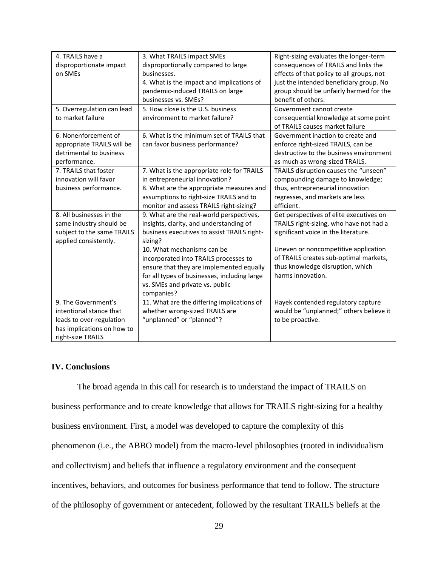| 4. TRAILS have a           | 3. What TRAILS impact SMEs                   | Right-sizing evaluates the longer-term    |
|----------------------------|----------------------------------------------|-------------------------------------------|
| disproportionate impact    | disproportionally compared to large          | consequences of TRAILS and links the      |
| on SMEs                    | businesses.                                  | effects of that policy to all groups, not |
|                            | 4. What is the impact and implications of    | just the intended beneficiary group. No   |
|                            | pandemic-induced TRAILS on large             | group should be unfairly harmed for the   |
|                            | businesses vs. SMEs?                         | benefit of others.                        |
| 5. Overregulation can lead | 5. How close is the U.S. business            | Government cannot create                  |
| to market failure          | environment to market failure?               | consequential knowledge at some point     |
|                            |                                              | of TRAILS causes market failure           |
| 6. Nonenforcement of       | 6. What is the minimum set of TRAILS that    | Government inaction to create and         |
| appropriate TRAILS will be | can favor business performance?              | enforce right-sized TRAILS, can be        |
| detrimental to business    |                                              | destructive to the business environment   |
| performance.               |                                              | as much as wrong-sized TRAILS.            |
| 7. TRAILS that foster      | 7. What is the appropriate role for TRAILS   | TRAILS disruption causes the "unseen"     |
| innovation will favor      | in entrepreneurial innovation?               | compounding damage to knowledge;          |
| business performance.      | 8. What are the appropriate measures and     | thus, entrepreneurial innovation          |
|                            | assumptions to right-size TRAILS and to      | regresses, and markets are less           |
|                            | monitor and assess TRAILS right-sizing?      | efficient.                                |
| 8. All businesses in the   | 9. What are the real-world perspectives,     | Get perspectives of elite executives on   |
| same industry should be    | insights, clarity, and understanding of      | TRAILS right-sizing, who have not had a   |
| subject to the same TRAILS | business executives to assist TRAILS right-  | significant voice in the literature.      |
| applied consistently.      | sizing?                                      |                                           |
|                            | 10. What mechanisms can be                   | Uneven or noncompetitive application      |
|                            | incorporated into TRAILS processes to        | of TRAILS creates sub-optimal markets,    |
|                            | ensure that they are implemented equally     | thus knowledge disruption, which          |
|                            | for all types of businesses, including large | harms innovation.                         |
|                            | vs. SMEs and private vs. public              |                                           |
|                            | companies?                                   |                                           |
| 9. The Government's        | 11. What are the differing implications of   | Hayek contended regulatory capture        |
| intentional stance that    | whether wrong-sized TRAILS are               | would be "unplanned;" others believe it   |
| leads to over-regulation   | "unplanned" or "planned"?                    | to be proactive.                          |
| has implications on how to |                                              |                                           |
| right-size TRAILS          |                                              |                                           |

# **IV. Conclusions**

The broad agenda in this call for research is to understand the impact of TRAILS on business performance and to create knowledge that allows for TRAILS right-sizing for a healthy business environment. First, a model was developed to capture the complexity of this phenomenon (i.e., the ABBO model) from the macro-level philosophies (rooted in individualism and collectivism) and beliefs that influence a regulatory environment and the consequent incentives, behaviors, and outcomes for business performance that tend to follow. The structure of the philosophy of government or antecedent, followed by the resultant TRAILS beliefs at the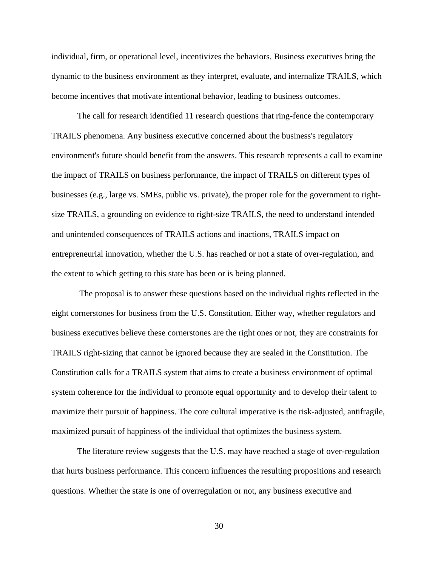individual, firm, or operational level, incentivizes the behaviors. Business executives bring the dynamic to the business environment as they interpret, evaluate, and internalize TRAILS, which become incentives that motivate intentional behavior, leading to business outcomes.

The call for research identified 11 research questions that ring-fence the contemporary TRAILS phenomena. Any business executive concerned about the business's regulatory environment's future should benefit from the answers. This research represents a call to examine the impact of TRAILS on business performance, the impact of TRAILS on different types of businesses (e.g., large vs. SMEs, public vs. private), the proper role for the government to rightsize TRAILS, a grounding on evidence to right-size TRAILS, the need to understand intended and unintended consequences of TRAILS actions and inactions, TRAILS impact on entrepreneurial innovation, whether the U.S. has reached or not a state of over-regulation, and the extent to which getting to this state has been or is being planned.

The proposal is to answer these questions based on the individual rights reflected in the eight cornerstones for business from the U.S. Constitution. Either way, whether regulators and business executives believe these cornerstones are the right ones or not, they are constraints for TRAILS right-sizing that cannot be ignored because they are sealed in the Constitution. The Constitution calls for a TRAILS system that aims to create a business environment of optimal system coherence for the individual to promote equal opportunity and to develop their talent to maximize their pursuit of happiness. The core cultural imperative is the risk-adjusted, antifragile, maximized pursuit of happiness of the individual that optimizes the business system.

The literature review suggests that the U.S. may have reached a stage of over-regulation that hurts business performance. This concern influences the resulting propositions and research questions. Whether the state is one of overregulation or not, any business executive and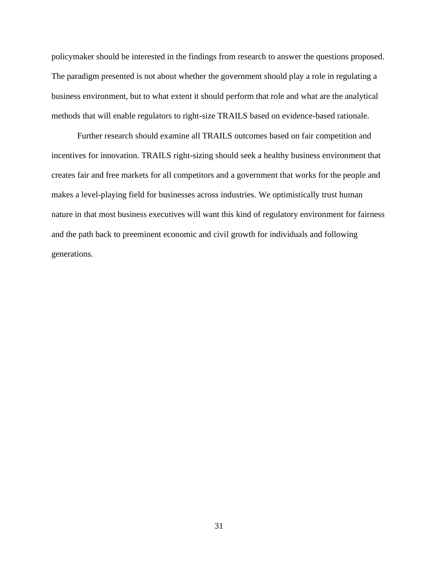policymaker should be interested in the findings from research to answer the questions proposed. The paradigm presented is not about whether the government should play a role in regulating a business environment, but to what extent it should perform that role and what are the analytical methods that will enable regulators to right-size TRAILS based on evidence-based rationale.

Further research should examine all TRAILS outcomes based on fair competition and incentives for innovation. TRAILS right-sizing should seek a healthy business environment that creates fair and free markets for all competitors and a government that works for the people and makes a level-playing field for businesses across industries. We optimistically trust human nature in that most business executives will want this kind of regulatory environment for fairness and the path back to preeminent economic and civil growth for individuals and following generations.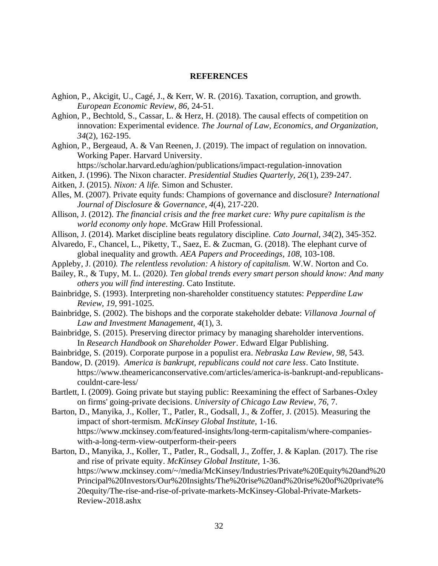#### **REFERENCES**

- Aghion, P., Akcigit, U., Cagé, J., & Kerr, W. R. (2016). Taxation, corruption, and growth. *European Economic Review, 86,* 24-51.
- Aghion, P., Bechtold, S., Cassar, L. & Herz, H. (2018). The causal effects of competition on innovation: Experimental evidence. *The Journal of Law, Economics, and Organization, 34*(2), 162-195.
- Aghion, P., Bergeaud, A. & Van Reenen, J. (2019). The impact of regulation on innovation. Working Paper. Harvard University.
	- https://scholar.harvard.edu/aghion/publications/impact-regulation-innovation
- Aitken, J. (1996). The Nixon character. *Presidential Studies Quarterly, 26*(1), 239-247.
- Aitken, J. (2015). *Nixon: A life.* Simon and Schuster.
- Alles, M. (2007). Private equity funds: Champions of governance and disclosure? *International Journal of Disclosure & Governance*, *4*(4), 217-220.
- Allison, J. (2012). *The financial crisis and the free market cure: Why pure capitalism is the world economy only hope*. McGraw Hill Professional.
- Allison, J. (2014). Market discipline beats regulatory discipline. *Cato Journal*, *34*(2), 345-352.
- Alvaredo, F., Chancel, L., Piketty, T., Saez, E. & Zucman, G. (2018). The elephant curve of global inequality and growth. *AEA Papers and Proceedings*, *108*, 103-108.
- Appleby, J. (2010*). The relentless revolution: A history of capitalism.* W.W. Norton and Co.
- Bailey, R., & Tupy, M. L. (2020*). Ten global trends every smart person should know: And many others you will find interesting*. Cato Institute.
- Bainbridge, S. (1993). Interpreting non-shareholder constituency statutes: *Pepperdine Law Review, 19,* 991-1025.
- Bainbridge, S. (2002). The bishops and the corporate stakeholder debate: *Villanova Journal of Law and Investment Management, 4*(1), 3.
- Bainbridge, S. (2015). Preserving director primacy by managing shareholder interventions. In *Research Handbook on Shareholder Power*. Edward Elgar Publishing.
- Bainbridge, S. (2019). Corporate purpose in a populist era. *Nebraska Law Review*, *98*, 543.
- Bandow, D. (2019). *America is bankrupt, republicans could not care less*. Cato Institute. [https://www.theamericanconservative.com/articles/america-is-bankrupt-and-republicans](https://www.theamericanconservative.com/articles/america-is-bankrupt-and-republicans-couldnt-care-less/)[couldnt-care-less/](https://www.theamericanconservative.com/articles/america-is-bankrupt-and-republicans-couldnt-care-less/)
- Bartlett, I. (2009). Going private but staying public: Reexamining the effect of Sarbanes-Oxley on firms' going-private decisions. *University of Chicago Law Review, 76,* 7.
- Barton, D., Manyika, J., Koller, T., Patler, R., Godsall, J., & Zoffer, J. (2015). Measuring the impact of short-termism. *McKinsey Global Institute*, 1-16. https://www.mckinsey.com/featured-insights/long-term-capitalism/where-companieswith-a-long-term-view-outperform-their-peers
- Barton, D., Manyika, J., Koller, T., Patler, R., Godsall, J., Zoffer, J. & Kaplan. (2017). The rise and rise of private equity. *McKinsey Global Institute*, 1-36. https://www.mckinsey.com/~/media/McKinsey/Industries/Private%20Equity%20and%20 Principal%20Investors/Our%20Insights/The%20rise%20and%20rise%20of%20private% 20equity/The-rise-and-rise-of-private-markets-McKinsey-Global-Private-Markets-Review-2018.ashx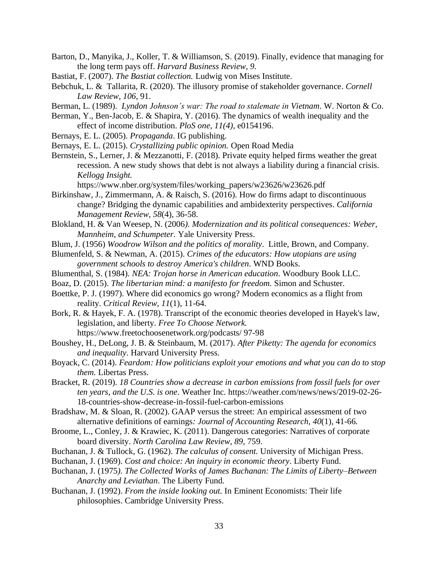- Barton, D., Manyika, J., Koller, T. & Williamson, S. (2019). Finally, evidence that managing for the long term pays off. *Harvard Business Review, 9.*
- Bastiat, F. (2007). *The Bastiat collection.* Ludwig von Mises Institute.
- Bebchuk, L. & Tallarita, R. (2020). The illusory promise of stakeholder governance. *Cornell Law Review*, *106*, 91.
- Berman, L. (1989). *Lyndon Johnson's war: The road to stalemate in Vietnam*. W. Norton & Co.
- Berman, Y., Ben-Jacob, E. & Shapira, Y. (2016). The dynamics of wealth inequality and the effect of income distribution. *PloS one, 11(4),* e0154196.
- Bernays, E. L. (2005). *Propaganda*. IG publishing.
- Bernays, E. L. (2015). *Crystallizing public opinion.* Open Road Media
- Bernstein, S., Lerner, J. & Mezzanotti, F. (2018). Private equity helped firms weather the great recession. A new study shows that debt is not always a liability during a financial crisis. *Kellogg Insight.*

https://www.nber.org/system/files/working\_papers/w23626/w23626.pdf

- Birkinshaw, J., Zimmermann, A. & Raisch, S. (2016). How do firms adapt to discontinuous change? Bridging the dynamic capabilities and ambidexterity perspectives. *California Management Review, 58*(4), 36-58.
- Blokland, H. & Van Weesep, N. (2006*). Modernization and its political consequences: Weber, Mannheim, and Schumpeter.* Yale University Press.
- Blum, J. (1956) *Woodrow Wilson and the politics of morality*. Little, Brown, and Company.
- Blumenfeld, S. & Newman, A. (2015). *Crimes of the educators: How utopians are using government schools to destroy America's children*. WND Books.
- Blumenthal, S. (1984). *NEA: Trojan horse in American education*. Woodbury Book LLC.
- Boaz, D. (2015). *The libertarian mind: a manifesto for freedom.* Simon and Schuster.
- Boettke, P. J. (1997). Where did economics go wrong? Modern economics as a flight from reality. *Critical Review, 11*(1), 11-64.
- Bork, R. & Hayek, F. A. (1978). Transcript of the economic theories developed in Hayek's law, legislation, and liberty. *Free To Choose Network.*  <https://www.freetochoosenetwork.org/podcasts/> 97-98
- Boushey, H., DeLong, J. B. & Steinbaum, M. (2017). *After Piketty: The agenda for economics and inequality*. Harvard University Press.
- Boyack, C. (2014). *Feardom: How politicians exploit your emotions and what you can do to stop them.* Libertas Press.
- Bracket, R. (2019). *18 Countries show a decrease in carbon emissions from fossil fuels for over ten years, and the U.S. is one*. Weather Inc*.* [https://weather.com/news/news/2019-02-26-](https://weather.com/news/news/2019-02-26-18-countries-show-decrease-in-fossil-fuel-carbon-emissions) [18-countries-show-decrease-in-fossil-fuel-carbon-emissions](https://weather.com/news/news/2019-02-26-18-countries-show-decrease-in-fossil-fuel-carbon-emissions)

Bradshaw, M. & Sloan, R. (2002). GAAP versus the street: An empirical assessment of two alternative definitions of earnings*: Journal of Accounting Research, 40*(1), 41-66*.*

- Broome, L., Conley, J. & Krawiec, K. (2011). Dangerous categories: Narratives of corporate board diversity. *North Carolina Law Review, 89,* 759.
- Buchanan, J. & Tullock, G. (1962). *The calculus of consent.* University of Michigan Press.
- Buchanan, J. (1969). *Cost and choice: An inquiry in economic theory*. Liberty Fund.
- Buchanan, J. (1975*). The Collected Works of James Buchanan: The Limits of Liberty–Between Anarchy and Leviathan*. The Liberty Fund*.*
- Buchanan, J. (1992). *From the inside looking out.* In Eminent Economists: Their life philosophies. Cambridge University Press.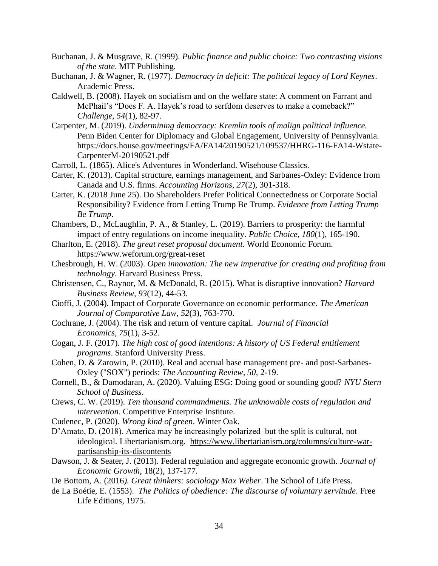- Buchanan, J. & Musgrave, R. (1999). *Public finance and public choice: Two contrasting visions of the state*. MIT Publishing.
- Buchanan, J. & Wagner, R. (1977). *Democracy in deficit: The political legacy of Lord Keynes*. Academic Press.
- Caldwell, B. (2008). Hayek on socialism and on the welfare state: A comment on Farrant and McPhail's "Does F. A. Hayek's road to serfdom deserves to make a comeback?" *Challenge, 54*(1), 82-97.
- Carpenter, M. (2019). *Undermining democracy: Kremlin tools of malign political influence.* Penn Biden Center for Diplomacy and Global Engagement, University of Pennsylvania. https://docs.house.gov/meetings/FA/FA14/20190521/109537/HHRG-116-FA14-Wstate-CarpenterM-20190521.pdf
- Carroll, L. (1865). Alice's Adventures in Wonderland. Wisehouse Classics.
- Carter, K. (2013). Capital structure, earnings management, and Sarbanes-Oxley: Evidence from Canada and U.S. firms. *Accounting Horizons, 27*(2), 301-318.
- Carter, K. (2018 June 25). Do Shareholders Prefer Political Connectedness or Corporate Social Responsibility? Evidence from Letting Trump Be Trump. *Evidence from Letting Trump Be Trump*.
- Chambers, D., McLaughlin, P. A., & Stanley, L. (2019). Barriers to prosperity: the harmful impact of entry regulations on income inequality*. Public Choice, 180*(1), 165-190.
- Charlton, E. (2018). *The great reset proposal document.* World Economic Forum. https://www.weforum.org/great-reset
- Chesbrough, H. W. (2003). *Open innovation: The new imperative for creating and profiting from technology*. Harvard Business Press.
- Christensen, C., Raynor, M. & McDonald, R. (2015). What is disruptive innovation? *Harvard Business Review, 93*(12), 44-53.
- Cioffi, J. (2004). Impact of Corporate Governance on economic performance. *The American Journal of Comparative Law, 52*(3), 763-770.
- Cochrane, J. (2004). The risk and return of venture capital. *Journal of Financial Economics*, *75*(1), 3-52.
- Cogan, J. F. (2017). *The high cost of good intentions: A history of US Federal entitlement programs*. Stanford University Press.
- Cohen, D. & Zarowin, P. (2010). Real and accrual base management pre- and post-Sarbanes-Oxley ("SOX") periods: *The Accounting Review, 50,* 2-19.
- Cornell, B., & Damodaran, A. (2020). Valuing ESG: Doing good or sounding good? *NYU Stern School of Business*.
- Crews, C. W. (2019). *Ten thousand commandments. The unknowable costs of regulation and intervention*. Competitive Enterprise Institute.
- Cudenec, P. (2020). *Wrong kind of green*. Winter Oak.
- D'Amato, D. (2018). America may be increasingly polarized–but the split is cultural, not ideological. Libertarianism.org. [https://www.libertarianism.org/columns/culture-war](https://www.libertarianism.org/columns/culture-war-partisanship-its-discontents)[partisanship-its-discontents](https://www.libertarianism.org/columns/culture-war-partisanship-its-discontents)
- Dawson, J. & Seater, J. (2013). Federal regulation and aggregate economic growth. *Journal of Economic Growth*, 18(2), 137-177.
- De Bottom, A. (2016*). Great thinkers: sociology Max Weber*. The School of Life Press.
- de La Boétie, E. (1553). *The Politics of obedience: The discourse of voluntary servitude*. Free Life Editions, 1975.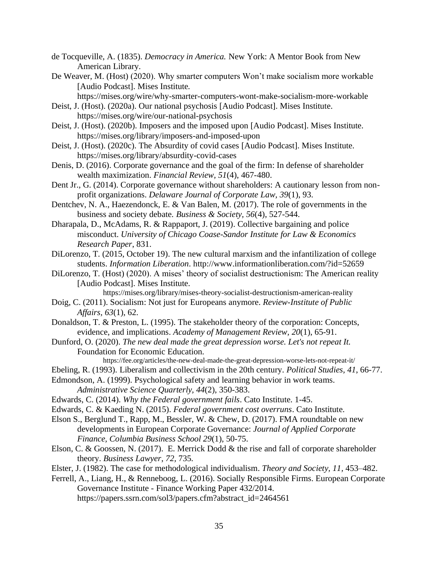- de Tocqueville, A. (1835). *Democracy in America.* New York: A Mentor Book from New American Library.
- De Weaver, M. (Host) (2020). Why smarter computers Won't make socialism more workable [Audio Podcast]. Mises Institute*.*

https://mises.org/wire/why-smarter-computers-wont-make-socialism-more-workable

- Deist, J. (Host). (2020a). Our national psychosis [Audio Podcast]. Mises Institute. https://mises.org/wire/our-national-psychosis
- Deist, J. (Host). (2020b). Imposers and the imposed upon [Audio Podcast]. Mises Institute. https://mises.org/library/imposers-and-imposed-upon
- Deist, J. (Host). (2020c). The Absurdity of covid cases [Audio Podcast]. Mises Institute. https://mises.org/library/absurdity-covid-cases
- Denis, D. (2016). Corporate governance and the goal of the firm: In defense of shareholder wealth maximization. *Financial Review, 51*(4), 467-480.
- Dent Jr., G. (2014). Corporate governance without shareholders: A cautionary lesson from nonprofit organizations. *Delaware Journal of Corporate Law, 39*(1), 93.
- Dentchev, N. A., Haezendonck, E. & Van Balen, M. (2017). The role of governments in the business and society debate. *Business & Society, 56*(4), 527-544.
- Dharapala, D., McAdams, R. & Rappaport, J. (2019). Collective bargaining and police misconduct. *University of Chicago Coase-Sandor Institute for Law & Economics Research Paper*, 831.
- DiLorenzo, T. (2015, October 19). The new cultural marxism and the infantilization of college students. *Information Liberation*.<http://www.informationliberation.com/?id=52659>
- DiLorenzo, T. (Host) (2020). A mises' theory of socialist destructionism: The American reality [Audio Podcast]. Mises Institute.

https://mises.org/library/mises-theory-socialist-destructionism-american-reality

- Doig, C. (2011). Socialism: Not just for Europeans anymore. *Review-Institute of Public Affairs, 63*(1), 62.
- Donaldson, T. & Preston, L. (1995). The stakeholder theory of the corporation: Concepts, evidence, and implications. *Academy of Management Review, 20*(1), 65-91.
- Dunford, O. (2020). *The new deal made the great depression worse. Let's not repeat It.* Foundation for Economic Education*.* 
	- https://fee.org/articles/the-new-deal-made-the-great-depression-worse-lets-not-repeat-it/
- Ebeling, R. (1993). Liberalism and collectivism in the 20th century*. Political Studies, 41*, 66-77.
- Edmondson, A. (1999). Psychological safety and learning behavior in work teams. *Administrative Science Quarterly, 44*(2), 350-383.
- Edwards, C. (2014). *Why the Federal government fails*. Cato Institute. 1-45.
- Edwards, C. & Kaeding N. (2015). *Federal government cost overruns*. Cato Institute.
- Elson S., Berglund T., Rapp, M., Bessler, W. & Chew, D. (2017). FMA roundtable on new developments in European Corporate Governance: *Journal of Applied Corporate Finance, Columbia Business School 29*(1), 50-75.
- Elson, C. & Goossen, N. (2017). E. Merrick Dodd & the rise and fall of corporate shareholder theory. *Business Lawyer*, *72,* 735*.*
- Elster, J. (1982). The case for methodological individualism. *Theory and Society, 11,* 453–482.
- Ferrell, A., Liang, H., & Renneboog, L. (2016). Socially Responsible Firms. European Corporate Governance Institute - Finance Working Paper 432/2014.

https://papers.ssrn.com/sol3/papers.cfm?abstract\_id=2464561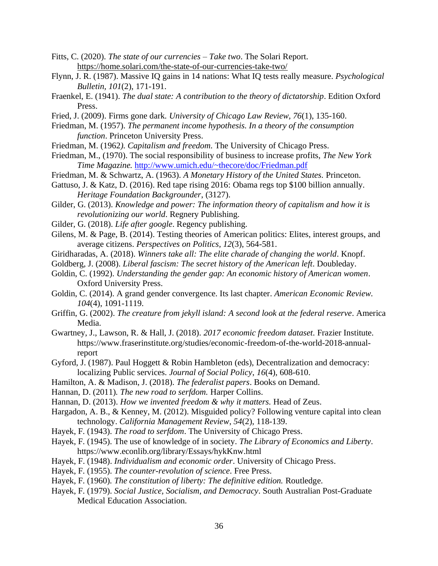- Fitts, C. (2020). *The state of our currencies – Take two*. The Solari Report. <https://home.solari.com/the-state-of-our-currencies-take-two/>
- Flynn, J. R. (1987). Massive IQ gains in 14 nations: What IQ tests really measure. *Psychological Bulletin, 101*(2), 171-191.
- Fraenkel, E. (1941). *The dual state: A contribution to the theory of dictatorship*. Edition Oxford Press.
- Fried, J. (2009). Firms gone dark*. University of Chicago Law Review, 76*(1), 135-160.
- Friedman, M. (1957). *The permanent income hypothesis. In a theory of the consumption function*. Princeton University Press.
- Friedman, M. (1962*). Capitalism and freedom.* The University of Chicago Press.
- Friedman, M., (1970). The social responsibility of business to increase profits, *The New York Time Magazine.* <http://www.umich.edu/~thecore/doc/Friedman.pdf>
- Friedman, M. & Schwartz, A. (1963). *A Monetary History of the United States.* Princeton.
- Gattuso, J. & Katz, D. (2016). Red tape rising 2016: Obama regs top \$100 billion annually. *Heritage Foundation Backgrounder*, (3127).
- Gilder, G. (2013). *Knowledge and power: The information theory of capitalism and how it is revolutionizing our world*. Regnery Publishing.
- Gilder, G. (2018). *Life after google*. Regency publishing.
- Gilens, M. & Page, B. (2014). Testing theories of American politics: Elites, interest groups, and average citizens. *Perspectives on Politics, 12*(3), 564-581.
- Giridharadas, A. (2018). *Winners take all: The elite charade of changing the world*. Knopf.
- Goldberg, J. (2008). *Liberal fascism: The secret history of the American left*. Doubleday.
- Goldin, C. (1992). *Understanding the gender gap: An economic history of American women*. Oxford University Press.
- Goldin, C. (2014). A grand gender convergence. Its last chapter. *American Economic Review. 104*(4), 1091-1119.
- Griffin, G. (2002). *The creature from jekyll island: A second look at the federal reserve*. America Media.
- Gwartney, J., Lawson, R. & Hall, J. (2018). *2017 economic freedom dataset*. Frazier Institute. https://www.fraserinstitute.org/studies/economic-freedom-of-the-world-2018-annualreport
- Gyford, J. (1987). Paul Hoggett & Robin Hambleton (eds), Decentralization and democracy: localizing Public services. *Journal of Social Policy*, *16*(4), 608-610.
- Hamilton, A. & Madison, J. (2018). *The federalist papers*. Books on Demand.
- Hannan, D. (2011)*. The new road to serfdom.* Harper Collins.
- Hannan, D. (2013). *How we invented freedom & why it matters.* Head of Zeus.
- Hargadon, A. B., & Kenney, M. (2012). Misguided policy? Following venture capital into clean technology. *California Management Review*, *54*(2), 118-139.
- Hayek, F. (1943). *The road to serfdom*. The University of Chicago Press.
- Hayek, F. (1945). The use of knowledge of in society. *The Library of Economics and Liberty*. <https://www.econlib.org/library/Essays/hykKnw.html>
- Hayek, F. (1948). *Individualism and economic order*. University of Chicago Press.
- Hayek, F. (1955). *The counter-revolution of science*. Free Press.
- Hayek, F. (1960)*. The constitution of liberty: The definitive edition.* Routledge.
- Hayek, F. (1979). *Social Justice, Socialism, and Democracy*. South Australian Post-Graduate Medical Education Association.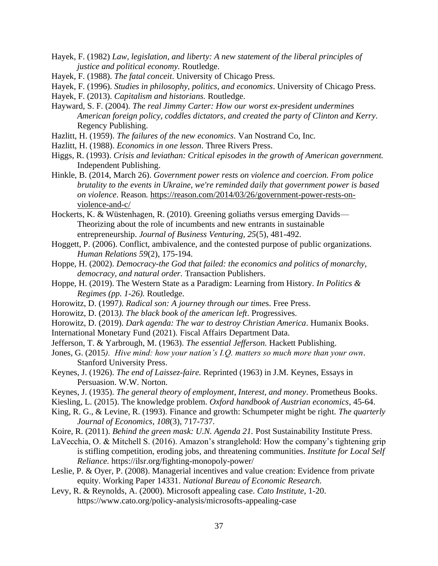- Hayek, F. (1982) *Law, legislation, and liberty: A new statement of the liberal principles of justice and political economy.* Routledge.
- Hayek, F. (1988). *The fatal conceit*. University of Chicago Press.
- Hayek, F. (1996). *Studies in philosophy, politics, and economics*. University of Chicago Press.
- Hayek, F. (2013). *Capitalism and historians.* Routledge.
- Hayward, S. F. (2004). *The real Jimmy Carter: How our worst ex-president undermines American foreign policy, coddles dictators, and created the party of Clinton and Kerry*. Regency Publishing.
- Hazlitt, H. (1959). *The failures of the new economics.* Van Nostrand Co, Inc.
- Hazlitt, H. (1988). *Economics in one lesson*. Three Rivers Press.
- Higgs, R. (1993). *Crisis and leviathan: Critical episodes in the growth of American government.* Independent Publishing.
- Hinkle, B. (2014, March 26). *Government power rests on violence and coercion. From police brutality to the events in Ukraine, we're reminded daily that government power is based on violence*. Reason*.* [https://reason.com/2014/03/26/government-power-rests-on](https://reason.com/2014/03/26/government-power-rests-on-violence-and-c/)[violence-and-c/](https://reason.com/2014/03/26/government-power-rests-on-violence-and-c/)
- Hockerts, K. & Wüstenhagen, R. (2010). Greening goliaths versus emerging Davids— Theorizing about the role of incumbents and new entrants in sustainable entrepreneurship. *Journal of Business Venturing, 25*(5), 481-492.
- Hoggett, P. (2006). Conflict, ambivalence, and the contested purpose of public organizations. *Human Relations 59*(2), 175-194.
- Hoppe, H. (2002). *Democracy-the God that failed: the economics and politics of monarchy, democracy, and natural order.* Transaction Publishers.
- Hoppe, H. (2019). The Western State as a Paradigm: Learning from History. *In Politics & Regimes (pp. 1-26).* Routledge.
- Horowitz, D. (1997*). Radical son: A journey through our time*s. Free Press.
- Horowitz, D. (2013*). The black book of the american left*. Progressives.
- Horowitz, D. (2019). *Dark agenda: The war to destroy Christian America*. Humanix Books.
- International Monetary Fund (2021). Fiscal Affairs Department Data.
- Jefferson, T. & Yarbrough, M. (1963). *The essential Jefferson.* Hackett Publishing.
- Jones, G. (2015*). Hive mind: how your nation's I.Q. matters so much more than your own*. Stanford University Press.
- Keynes, J. (1926). *The end of Laissez-faire.* Reprinted (1963) in J.M. Keynes, Essays in Persuasion. W.W. Norton.
- Keynes, J. (1935). *The general theory of employment, Interest, and money*. Prometheus Books.
- Kiesling, L. (2015). The knowledge problem. *Oxford handbook of Austrian economics*, 45-64.
- King, R. G., & Levine, R. (1993). Finance and growth: Schumpeter might be right. *The quarterly Journal of Economics, 108*(3), 717-737.
- Koire, R. (2011). *Behind the green mask: U.N. Agenda 21.* Post Sustainability Institute Press.
- LaVecchia, O. & Mitchell S. (2016). Amazon's stranglehold: How the company's tightening grip is stifling competition, eroding jobs, and threatening communities. *Institute for Local Self Reliance.* <https://ilsr.org/fighting-monopoly-power/>
- Leslie, P. & Oyer, P. (2008). Managerial incentives and value creation: Evidence from private equity. Working Paper 14331. *National Bureau of Economic Research.*
- Levy, R. & Reynolds, A. (2000). Microsoft appealing case. *Cato Institute,* 1-20. <https://www.cato.org/policy-analysis/microsofts-appealing-case>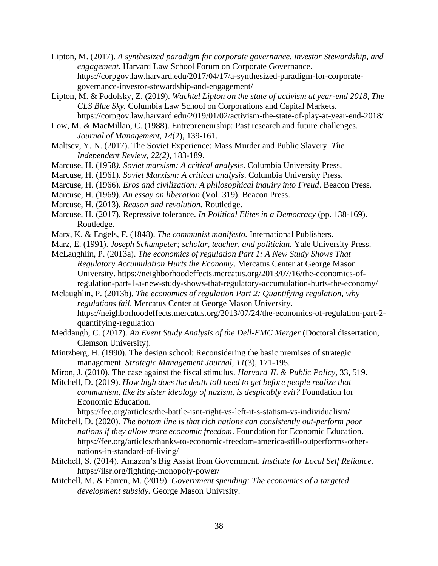- Lipton, M. (2017). *A synthesized paradigm for corporate governance, investor Stewardship, and engagement.* Harvard Law School Forum on Corporate Governance. [https://corpgov.law.harvard.edu/2017/04/17/a-synthesized-paradigm-for-corporate](https://corpgov.law.harvard.edu/2017/04/17/a-synthesized-paradigm-for-corporate-governance-investor-stewardship-and-engagement/)[governance-investor-stewardship-and-engagement/](https://corpgov.law.harvard.edu/2017/04/17/a-synthesized-paradigm-for-corporate-governance-investor-stewardship-and-engagement/)
- Lipton, M. & Podolsky, Z. (2019). *Wachtel Lipton on the state of activism at year-end 2018, The CLS Blue Sky.* Columbia Law School on Corporations and Capital Markets. <https://corpgov.law.harvard.edu/2019/01/02/activism-the-state-of-play-at-year-end-2018/>
- Low, M. & MacMillan, C. (1988). Entrepreneurship: Past research and future challenges. *Journal of Management, 14*(2), 139-161.
- Maltsev, Y. N. (2017). The Soviet Experience: Mass Murder and Public Slavery. *The Independent Review, 22(2)*, 183-189.
- Marcuse, H. (1958*). Soviet marxism: A critical analysis*. Columbia University Press,
- Marcuse, H. (1961). *Soviet Marxism: A critical analysis*. Columbia University Press.
- Marcuse, H. (1966). *Eros and civilization: A philosophical inquiry into Freud*. Beacon Press.
- Marcuse, H. (1969). *An essay on liberation* (Vol. 319). Beacon Press.
- Marcuse, H. (2013). *Reason and revolution.* Routledge.
- Marcuse, H. (2017). Repressive tolerance. *In Political Elites in a Democracy* (pp. 138-169). Routledge.
- Marx, K. & Engels, F. (1848). *The communist manifesto.* International Publishers.
- Marz, E. (1991). *Joseph Schumpeter; scholar, teacher, and politician.* Yale University Press.
- McLaughlin, P. (2013a). *The economics of regulation Part 1: A New Study Shows That Regulatory Accumulation Hurts the Economy*. Mercatus Center at George Mason University. https://neighborhoodeffects.mercatus.org/2013/07/16/the-economics-ofregulation-part-1-a-new-study-shows-that-regulatory-accumulation-hurts-the-economy/
- Mclaughlin, P. (2013b). *The economics of regulation Part 2: Quantifying regulation, why regulations fail*. Mercatus Center at George Mason University. https://neighborhoodeffects.mercatus.org/2013/07/24/the-economics-of-regulation-part-2 quantifying-regulation
- Meddaugh, C. (2017). *An Event Study Analysis of the Dell-EMC Merger* (Doctoral dissertation, Clemson University).
- Mintzberg, H. (1990). The design school: Reconsidering the basic premises of strategic management. *Strategic Management Journal, 11*(3), 171-195.
- Miron, J. (2010). The case against the fiscal stimulus. *Harvard JL & Public Policy*, 33, 519.
- Mitchell, D. (2019). *How high does the death toll need to get before people realize that communism, like its sister ideology of nazism, is despicably evil?* Foundation for Economic Education*.*

https://fee.org/articles/the-battle-isnt-right-vs-left-it-s-statism-vs-individualism/

- Mitchell, D. (2020). *The bottom line is that rich nations can consistently out-perform poor nations if they allow more economic freedom*. Foundation for Economic Education. https://fee.org/articles/thanks-to-economic-freedom-america-still-outperforms-othernations-in-standard-of-living/
- Mitchell, S. (2014). Amazon's Big Assist from Government. *Institute for Local Self Reliance.*  <https://ilsr.org/fighting-monopoly-power/>
- Mitchell, M. & Farren, M. (2019). *Government spending: The economics of a targeted development subsidy.* George Mason Univrsity.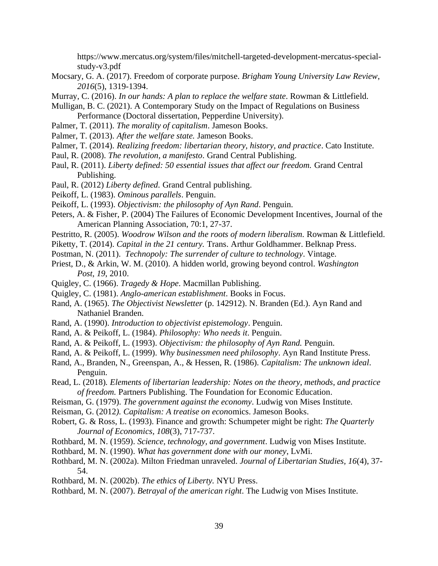https://www.mercatus.org/system/files/mitchell-targeted-development-mercatus-specialstudy-v3.pdf

Mocsary, G. A. (2017). Freedom of corporate purpose. *Brigham Young University Law Review*, *2016*(5), 1319-1394.

Murray, C. (2016). *In our hands: A plan to replace the welfare state*. Rowman & Littlefield.

- Mulligan, B. C. (2021). A Contemporary Study on the Impact of Regulations on Business Performance (Doctoral dissertation, Pepperdine University).
- Palmer, T. (2011). *The morality of capitalism*. Jameson Books.
- Palmer, T. (2013). *After the welfare state.* Jameson Books.
- Palmer, T. (2014). *Realizing freedom: libertarian theory, history, and practice*. Cato Institute.
- Paul, R. (2008). *The revolution, a manifesto*. Grand Central Publishing.
- Paul, R. (2011). *Liberty defined: 50 essential issues that affect our freedom.* Grand Central Publishing.
- Paul, R. (2012) *Liberty defined.* Grand Central publishing.
- Peikoff, L. (1983). *Ominous parallels*. Penguin.
- Peikoff, L. (1993). *Objectivism: the philosophy of Ayn Rand*. Penguin.
- Peters, A. & Fisher, P. (2004) The Failures of Economic Development Incentives, Journal of the American Planning Association, 70:1, 27-37.
- Pestritto, R. (2005). *Woodrow Wilson and the roots of modern liberalism.* Rowman & Littlefield.
- Piketty, T. (2014). *Capital in the 21 century.* Trans. Arthur Goldhammer. Belknap Press.
- Postman, N. (2011). *Technopoly: The surrender of culture to technology*. Vintage.
- Priest, D., & Arkin, W. M. (2010). A hidden world, growing beyond control. *Washington Post*, *19*, 2010.
- Quigley, C. (1966). *Tragedy & Hope*. Macmillan Publishing.
- Quigley, C. (1981). *Anglo-american establishment*. Books in Focus.
- Rand, A. (1965). *The Objectivist Newsletter* (p. 142912). N. Branden (Ed.). Ayn Rand and Nathaniel Branden.
- Rand, A. (1990). *Introduction to objectivist epistemology*. Penguin.
- Rand, A. & Peikoff, L. (1984). *Philosophy: Who needs it*. Penguin.
- Rand, A. & Peikoff, L. (1993). *Objectivism: the philosophy of Ayn Rand.* Penguin.
- Rand, A. & Peikoff, L. (1999). *Why businessmen need philosophy*. Ayn Rand Institute Press.
- Rand, A., Branden, N., Greenspan, A., & Hessen, R. (1986). *Capitalism: The unknown ideal*. Penguin.
- Read, L. (2018)*. Elements of libertarian leadership: Notes on the theory, methods, and practice of freedom.* Partners Publishing. The Foundation for Economic Education.
- Reisman, G. (1979). *The government against the economy*. Ludwig von Mises Institute.
- Reisman, G. (2012*). Capitalism: A treatise on econ*omics. Jameson Books.
- Robert, G. & Ross, L. (1993). Finance and growth: Schumpeter might be right: *The Quarterly Journal of Economics, 108*(3), 717-737.
- Rothbard, M. N. (1959). *Science, technology, and government*. Ludwig von Mises Institute.
- Rothbard, M. N. (1990). *What has government done with our money*, LvMi.
- Rothbard, M. N. (2002a). Milton Friedman unraveled. *Journal of Libertarian Studies, 16*(4), 37- 54.
- Rothbard, M. N. (2002b). *The ethics of Liberty.* NYU Press.
- Rothbard, M. N. (2007). *Betrayal of the american right*. The Ludwig von Mises Institute.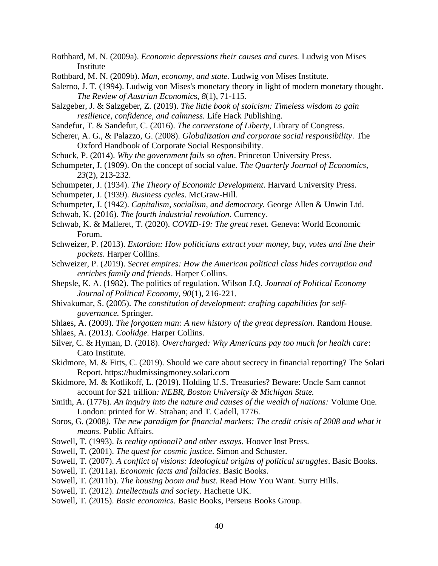- Rothbard, M. N. (2009a). *Economic depressions their causes and cures.* Ludwig von Mises **Institute**
- Rothbard, M. N. (2009b). *Man, economy, and state.* Ludwig von Mises Institute.
- Salerno, J. T. (1994). Ludwig von Mises's monetary theory in light of modern monetary thought. *The Review of Austrian Economic*s, *8*(1), 71-115.
- Salzgeber, J. & Salzgeber, Z. (2019). *The little book of stoicism: Timeless wisdom to gain resilience, confidence, and calmness.* Life Hack Publishing.
- Sandefur, T. & Sandefur, C. (2016). *The cornerstone of Liberty*, Library of Congress.
- Scherer, A. G., & Palazzo, G. (2008). *Globalization and corporate social responsibility*. The Oxford Handbook of Corporate Social Responsibility.
- Schuck, P. (2014). *Why the government fails so often*. Princeton University Press.
- Schumpeter, J. (1909). On the concept of social value. *The Quarterly Journal of Economics, 23*(2), 213-232.
- Schumpeter, J. (1934). *The Theory of Economic Development*. Harvard University Press.
- Schumpeter, J. (1939). *Business cycles*. McGraw-Hill.
- Schumpeter, J. (1942). *Capitalism, socialism, and democracy.* George Allen & Unwin Ltd.
- Schwab, K. (2016). *The fourth industrial revolution*. Currency.
- Schwab, K. & Malleret, T. (2020). *COVID-19: The great reset.* Geneva: World Economic Forum.
- Schweizer, P. (2013). *Extortion: How politicians extract your money, buy, votes and line their pockets.* Harper Collins.
- Schweizer, P. (2019). *Secret empires: How the American political class hides corruption and enriches family and friends*. Harper Collins.
- Shepsle, K. A. (1982). The politics of regulation. Wilson J.Q. *Journal of Political Economy Journal of Political Economy, 90*(1), 216-221.
- Shivakumar, S. (2005). *The constitution of development: crafting capabilities for selfgovernance.* Springer.
- Shlaes, A. (2009). *The forgotten man: A new history of the great depression*. Random House.
- Shlaes, A. (2013). *Coolidge.* Harper Collins.
- Silver, C. & Hyman, D. (2018). *Overcharged: Why Americans pay too much for health care*: Cato Institute.
- Skidmore, M. & Fitts, C. (2019). Should we care about secrecy in financial reporting? The Solari Report. https://hudmissingmoney.solari.com
- Skidmore, M. & Kotlikoff, L. (2019). Holding U.S. Treasuries? Beware: Uncle Sam cannot account for \$21 trillion*: NEBR, Boston University & Michigan State.*
- Smith, A. (1776). *An inquiry into the nature and causes of the wealth of nations:* Volume One. London: printed for W. Strahan; and T. Cadell, 1776.
- Soros, G. (2008*). The new paradigm for financial markets: The credit crisis of 2008 and what it means.* Public Affairs.
- Sowell, T. (1993). *Is reality optional? and other essays*. Hoover Inst Press.
- Sowell, T. (2001). *The quest for cosmic justice*. Simon and Schuster.
- Sowell, T. (2007). *A conflict of visions: Ideological origins of political struggles*. Basic Books.
- Sowell, T. (2011a). *Economic facts and fallacies*. Basic Books.
- Sowell, T. (2011b). *The housing boom and bust.* Read How You Want. Surry Hills.
- Sowell, T. (2012). *Intellectuals and society*. Hachette UK.
- Sowell, T. (2015). *Basic economics*. Basic Books, Perseus Books Group.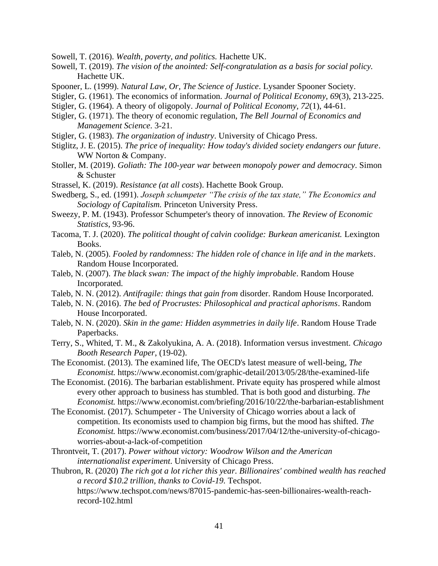Sowell, T. (2016). *Wealth, poverty, and politics.* Hachette UK.

- Sowell, T. (2019). *The vision of the anointed: Self-congratulation as a basis for social policy.* Hachette UK.
- Spooner, L. (1999). *Natural Law, Or, The Science of Justice*. Lysander Spooner Society.
- Stigler, G. (1961). The economics of information. *Journal of Political Economy, 69*(3), 213-225.
- Stigler, G. (1964). A theory of oligopoly. *Journal of Political Economy, 72*(1), 44-61.
- Stigler, G. (1971). The theory of economic regulation, *The Bell Journal of Economics and Management Science*. 3-21.
- Stigler, G. (1983). *The organization of industry*. University of Chicago Press.
- Stiglitz, J. E. (2015). *The price of inequality: How today's divided society endangers our future*. WW Norton & Company.
- Stoller, M. (2019). *Goliath: The 100-year war between monopoly power and democracy*. Simon & Schuster
- Strassel, K. (2019). *Resistance (at all costs*). Hachette Book Group.
- Swedberg, S., ed. (1991). *Joseph schumpeter "The crisis of the tax state," The Economics and Sociology of Capitalism.* Princeton University Press.
- Sweezy, P. M. (1943). Professor Schumpeter's theory of innovation. *The Review of Economic Statistics*, 93-96.
- Tacoma, T. J. (2020). *The political thought of calvin coolidge: Burkean americanist.* Lexington Books.
- Taleb, N. (2005). *Fooled by randomness: The hidden role of chance in life and in the markets*. Random House Incorporated.
- Taleb, N. (2007). *The black swan: The impact of the highly improbable*. Random House Incorporated.
- Taleb, N. N. (2012). *Antifragile: things that gain from* disorder. Random House Incorporated.
- Taleb, N. N. (2016). *The bed of Procrustes: Philosophical and practical aphorisms*. Random House Incorporated.
- Taleb, N. N. (2020). *Skin in the game: Hidden asymmetries in daily life*. Random House Trade Paperbacks.
- Terry, S., Whited, T. M., & Zakolyukina, A. A. (2018). Information versus investment. *Chicago Booth Research Paper*, (19-02).
- The Economist. (2013). The examined life, The OECD's latest measure of well-being, *The Economist.* <https://www.economist.com/graphic-detail/2013/05/28/the-examined-life>
- The Economist. (2016). The barbarian establishment. Private equity has prospered while almost every other approach to business has stumbled. That is both good and disturbing. *The Economist.* <https://www.economist.com/briefing/2016/10/22/the-barbarian-establishment>
- The Economist. (2017). Schumpeter The University of Chicago worries about a lack of competition. Its economists used to champion big firms, but the mood has shifted. *The Economist.* [https://www.economist.com/business/2017/04/12/the-university-of-chicago](https://www.economist.com/business/2017/04/12/the-university-of-chicago-worries-about-a-lack-of-competition)[worries-about-a-lack-of-competition](https://www.economist.com/business/2017/04/12/the-university-of-chicago-worries-about-a-lack-of-competition)
- Throntveit, T. (2017). *Power without victory: Woodrow Wilson and the American internationalist experiment*. University of Chicago Press.
- Thubron, R. (2020) *The rich got a lot richer this year. Billionaires' combined wealth has reached a record \$10.2 trillion, thanks to Covid-19.* Techspot. https://www.techspot.com/news/87015-pandemic-has-seen-billionaires-wealth-reach
	- record-102.html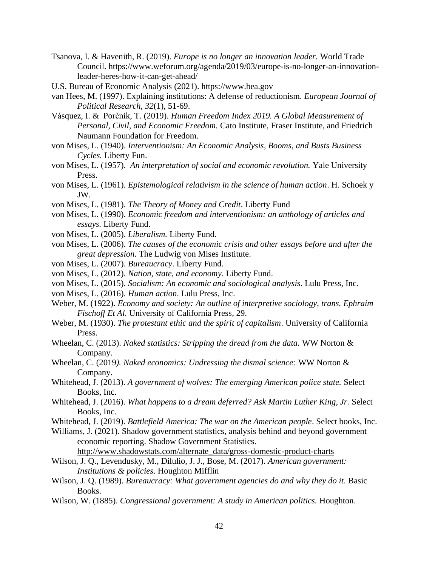- Tsanova, I. & Havenith, R. (2019). *Europe is no longer an innovation leader.* World Trade Council. https://www.weforum.org/agenda/2019/03/europe-is-no-longer-an-innovationleader-heres-how-it-can-get-ahead/
- U.S. Bureau of Economic Analysis (2021). https://www.bea.gov
- van Hees, M. (1997). Explaining institutions: A defense of reductionism. *European Journal of Political Research, 32*(1), 51-69.
- Vásquez, I. & Porčnik, T. (2019). *Human Freedom Index 2019. A Global Measurement of Personal, Civil, and Economic Freedom.* Cato Institute, Fraser Institute, and Friedrich Naumann Foundation for Freedom.
- von Mises, L. (1940). *Interventionism: An Economic Analysis, Booms, and Busts Business Cycles.* Liberty Fun.
- von Mises, L. (1957). *An interpretation of social and economic revolution.* Yale University Press.
- von Mises, L. (1961). *Epistemological relativism in the science of human action*. H. Schoek y JW.
- von Mises, L. (1981). *The Theory of Money and Credit*. Liberty Fund
- von Mises, L. (1990). *Economic freedom and interventionism: an anthology of articles and essays.* Liberty Fund.
- von Mises, L. (2005). *Liberalism.* Liberty Fund.
- von Mises, L. (2006). *The causes of the economic crisis and other essays before and after the great depression.* The Ludwig von Mises Institute.
- von Mises, L. (2007). *Bureaucracy*. Liberty Fund.
- von Mises, L. (2012). *Nation, state, and economy.* Liberty Fund.
- von Mises, L. (2015). *Socialism: An economic and sociological analysis*. Lulu Press, Inc.
- von Mises, L. (2016). *Human action*. Lulu Press, Inc.
- Weber, M. (1922). *Economy and society: An outline of interpretive sociology, trans. Ephraim Fischoff Et Al.* University of California Press, 29.
- Weber, M. (1930). *The protestant ethic and the spirit of capitalism*. University of California Press.
- Wheelan, C. (2013). *Naked statistics: Stripping the dread from the data.* WW Norton & Company.
- Wheelan, C. (2019*). Naked economics: Undressing the dismal science:* WW Norton & Company.
- Whitehead, J. (2013). *A government of wolves: The emerging American police state.* Select Books, Inc.
- Whitehead, J. (2016). *What happens to a dream deferred? Ask Martin Luther King, Jr. Select* Books, Inc.
- Whitehead, J. (2019). *Battlefield America: The war on the American people*. Select books, Inc.
- Williams, J. (2021). Shadow government statistics, analysis behind and beyond government economic reporting. Shadow Government Statistics.

[http://www.shadowstats.com/alternate\\_data/gross-domestic-product-charts](http://www.shadowstats.com/alternate_data/gross-domestic-product-charts)

- Wilson, J. Q., Levendusky, M., Dilulio, J. J., Bose, M. (2017). *American government: Institutions & policies*. Houghton Mifflin
- Wilson, J. Q. (1989). *Bureaucracy: What government agencies do and why they do it*. Basic Books.
- Wilson, W. (1885). *Congressional government: A study in American politics.* Houghton.